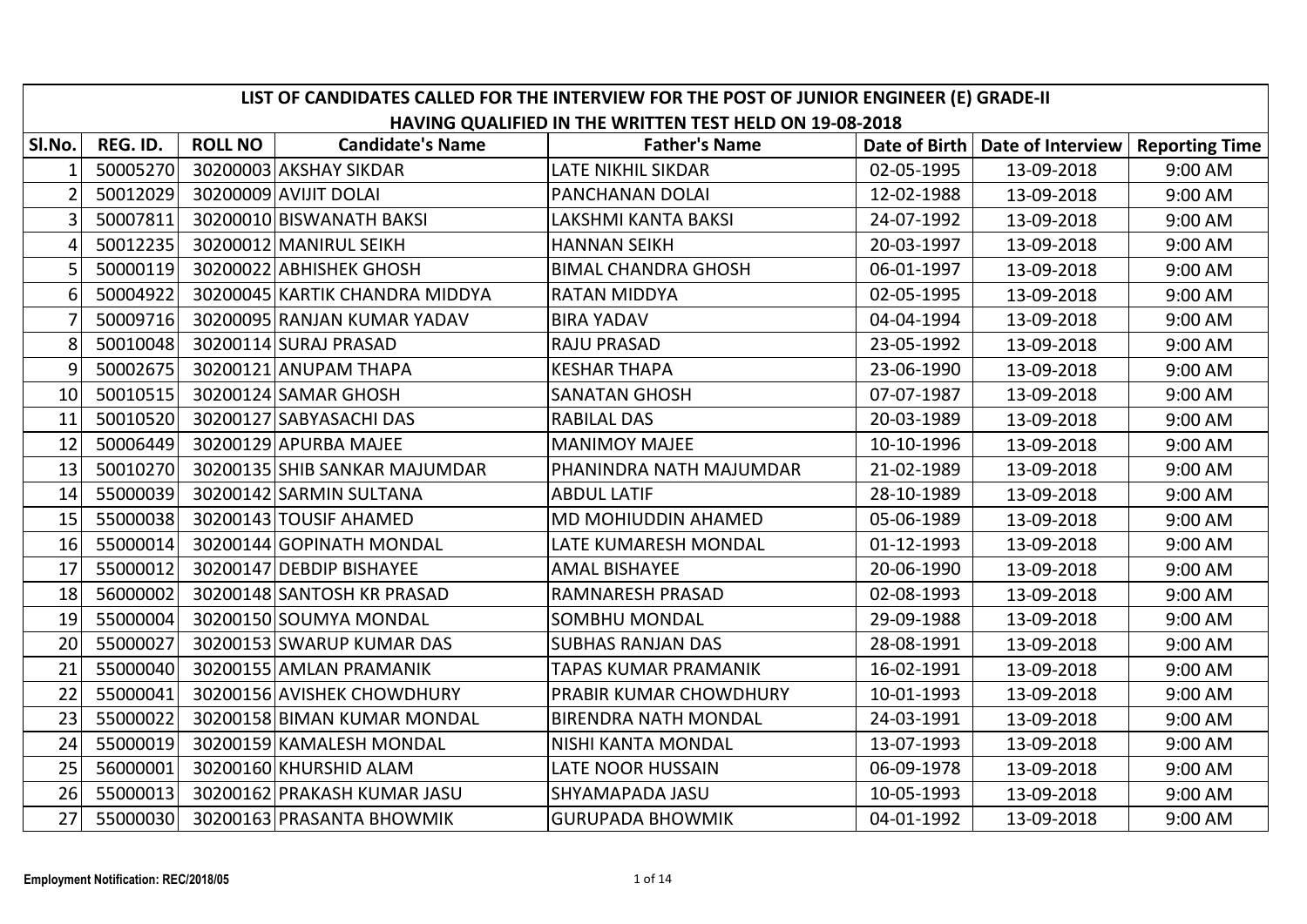|        |          |                |                                | LIST OF CANDIDATES CALLED FOR THE INTERVIEW FOR THE POST OF JUNIOR ENGINEER (E) GRADE-II |            |                                   |                       |
|--------|----------|----------------|--------------------------------|------------------------------------------------------------------------------------------|------------|-----------------------------------|-----------------------|
| SI.No. | REG. ID. | <b>ROLL NO</b> | <b>Candidate's Name</b>        | HAVING QUALIFIED IN THE WRITTEN TEST HELD ON 19-08-2018<br><b>Father's Name</b>          |            | Date of Birth   Date of Interview | <b>Reporting Time</b> |
|        | 50005270 |                | 30200003 AKSHAY SIKDAR         | LATE NIKHIL SIKDAR                                                                       | 02-05-1995 | 13-09-2018                        | 9:00 AM               |
|        | 50012029 |                | 30200009 AVIJIT DOLAI          | PANCHANAN DOLAI                                                                          | 12-02-1988 | 13-09-2018                        | 9:00 AM               |
| 3      | 50007811 |                | 30200010 BISWANATH BAKSI       | LAKSHMI KANTA BAKSI                                                                      | 24-07-1992 | 13-09-2018                        | 9:00 AM               |
| 4      | 50012235 |                | 30200012 MANIRUL SEIKH         | <b>HANNAN SEIKH</b>                                                                      | 20-03-1997 | 13-09-2018                        | 9:00 AM               |
| 5      | 50000119 |                | 30200022 ABHISHEK GHOSH        | <b>BIMAL CHANDRA GHOSH</b>                                                               | 06-01-1997 | 13-09-2018                        | 9:00 AM               |
| 6      | 50004922 |                | 30200045 KARTIK CHANDRA MIDDYA | <b>RATAN MIDDYA</b>                                                                      | 02-05-1995 | 13-09-2018                        | 9:00 AM               |
| 7      | 50009716 |                | 30200095 RANJAN KUMAR YADAV    | <b>BIRA YADAV</b>                                                                        | 04-04-1994 | 13-09-2018                        | 9:00 AM               |
| 8      | 50010048 |                | 30200114 SURAJ PRASAD          | <b>RAJU PRASAD</b>                                                                       | 23-05-1992 | 13-09-2018                        | 9:00 AM               |
| 9      | 50002675 |                | 30200121 ANUPAM THAPA          | <b>KESHAR THAPA</b>                                                                      | 23-06-1990 | 13-09-2018                        | 9:00 AM               |
| 10     | 50010515 |                | 30200124 SAMAR GHOSH           | <b>SANATAN GHOSH</b>                                                                     | 07-07-1987 | 13-09-2018                        | 9:00 AM               |
| 11     | 50010520 |                | 30200127 SABYASACHI DAS        | <b>RABILAL DAS</b>                                                                       | 20-03-1989 | 13-09-2018                        | 9:00 AM               |
| 12     | 50006449 |                | 30200129 APURBA MAJEE          | <b>MANIMOY MAJEE</b>                                                                     | 10-10-1996 | 13-09-2018                        | 9:00 AM               |
| 13     | 50010270 |                | 30200135 SHIB SANKAR MAJUMDAR  | PHANINDRA NATH MAJUMDAR                                                                  | 21-02-1989 | 13-09-2018                        | 9:00 AM               |
| 14     | 55000039 |                | 30200142 SARMIN SULTANA        | <b>ABDUL LATIF</b>                                                                       | 28-10-1989 | 13-09-2018                        | 9:00 AM               |
| 15     | 55000038 |                | 30200143 TOUSIF AHAMED         | MD MOHIUDDIN AHAMED                                                                      | 05-06-1989 | 13-09-2018                        | 9:00 AM               |
| 16     | 55000014 |                | 30200144 GOPINATH MONDAL       | LATE KUMARESH MONDAL                                                                     | 01-12-1993 | 13-09-2018                        | 9:00 AM               |
| 17     | 55000012 |                | 30200147 DEBDIP BISHAYEE       | <b>AMAL BISHAYEE</b>                                                                     | 20-06-1990 | 13-09-2018                        | 9:00 AM               |
| 18     | 56000002 |                | 30200148 SANTOSH KR PRASAD     | <b>RAMNARESH PRASAD</b>                                                                  | 02-08-1993 | 13-09-2018                        | 9:00 AM               |
| 19     | 55000004 |                | 30200150 SOUMYA MONDAL         | <b>SOMBHU MONDAL</b>                                                                     | 29-09-1988 | 13-09-2018                        | 9:00 AM               |
| 20     | 55000027 |                | 30200153 SWARUP KUMAR DAS      | <b>SUBHAS RANJAN DAS</b>                                                                 | 28-08-1991 | 13-09-2018                        | 9:00 AM               |
| 21     | 55000040 |                | 30200155 AMLAN PRAMANIK        | <b>TAPAS KUMAR PRAMANIK</b>                                                              | 16-02-1991 | 13-09-2018                        | 9:00 AM               |
| 22     | 55000041 |                | 30200156 AVISHEK CHOWDHURY     | PRABIR KUMAR CHOWDHURY                                                                   | 10-01-1993 | 13-09-2018                        | 9:00 AM               |
| 23     | 55000022 |                | 30200158 BIMAN KUMAR MONDAL    | <b>BIRENDRA NATH MONDAL</b>                                                              | 24-03-1991 | 13-09-2018                        | 9:00 AM               |
| 24     | 55000019 |                | 30200159 KAMALESH MONDAL       | NISHI KANTA MONDAL                                                                       | 13-07-1993 | 13-09-2018                        | 9:00 AM               |
| 25     | 56000001 |                | 30200160 KHURSHID ALAM         | LATE NOOR HUSSAIN                                                                        | 06-09-1978 | 13-09-2018                        | 9:00 AM               |
| 26     | 55000013 |                | 30200162 PRAKASH KUMAR JASU    | SHYAMAPADA JASU                                                                          | 10-05-1993 | 13-09-2018                        | 9:00 AM               |
| 27     | 55000030 |                | 30200163 PRASANTA BHOWMIK      | <b>GURUPADA BHOWMIK</b>                                                                  | 04-01-1992 | 13-09-2018                        | 9:00 AM               |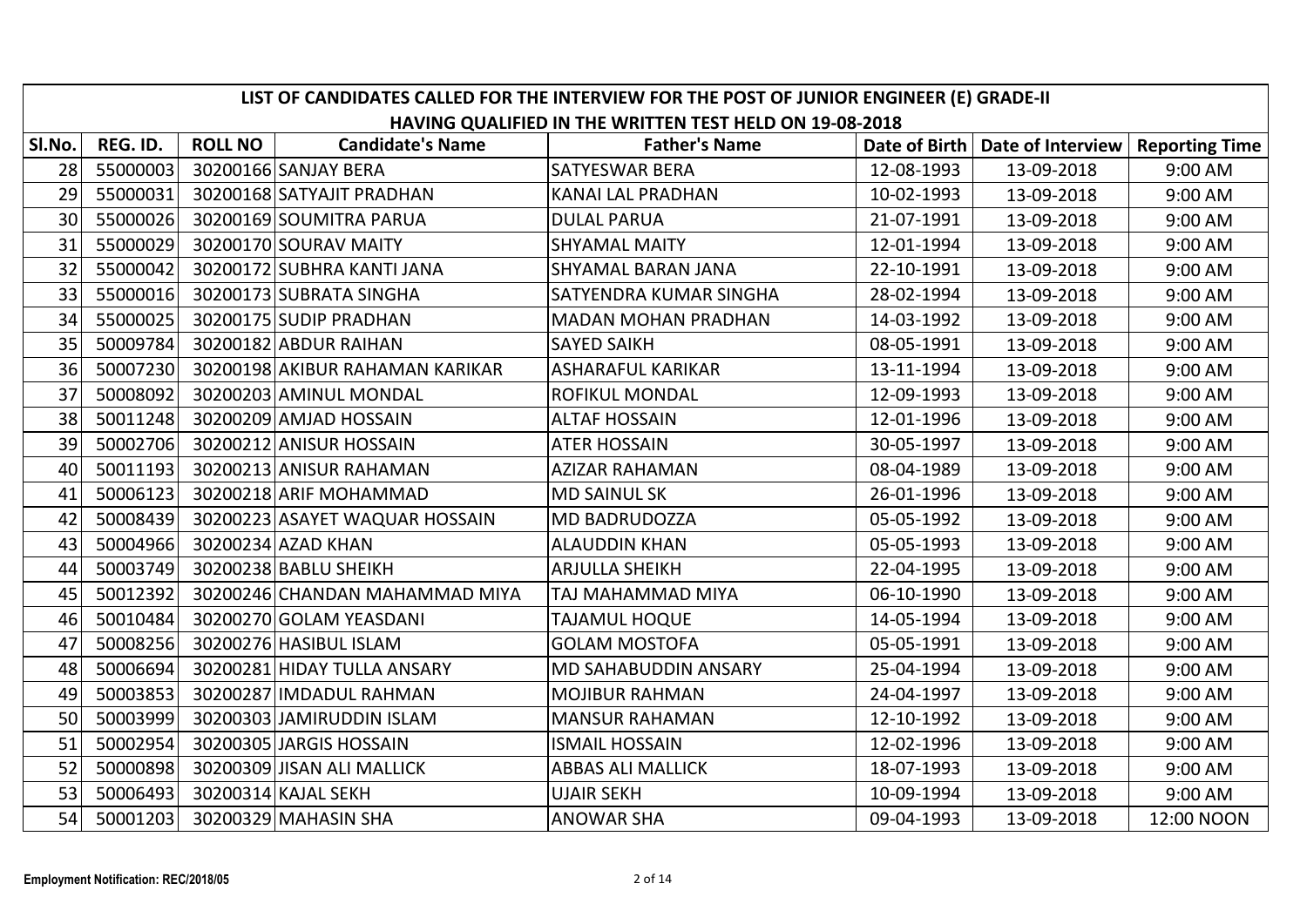|                 | LIST OF CANDIDATES CALLED FOR THE INTERVIEW FOR THE POST OF JUNIOR ENGINEER (E) GRADE-II<br>HAVING QUALIFIED IN THE WRITTEN TEST HELD ON 19-08-2018 |                |                                 |                             |            |                                   |                       |  |  |  |
|-----------------|-----------------------------------------------------------------------------------------------------------------------------------------------------|----------------|---------------------------------|-----------------------------|------------|-----------------------------------|-----------------------|--|--|--|
| SI.No.          | REG. ID.                                                                                                                                            | <b>ROLL NO</b> | <b>Candidate's Name</b>         | <b>Father's Name</b>        |            | Date of Birth   Date of Interview | <b>Reporting Time</b> |  |  |  |
| 28              | 55000003                                                                                                                                            |                | 30200166 SANJAY BERA            | <b>SATYESWAR BERA</b>       | 12-08-1993 | 13-09-2018                        | 9:00 AM               |  |  |  |
| 29              | 55000031                                                                                                                                            |                | 30200168 SATYAJIT PRADHAN       | <b>KANAI LAL PRADHAN</b>    | 10-02-1993 | 13-09-2018                        | 9:00 AM               |  |  |  |
| 30 <sup>1</sup> | 55000026                                                                                                                                            |                | 30200169 SOUMITRA PARUA         | <b>DULAL PARUA</b>          | 21-07-1991 | 13-09-2018                        | 9:00 AM               |  |  |  |
| 31              | 55000029                                                                                                                                            |                | 30200170 SOURAV MAITY           | <b>SHYAMAL MAITY</b>        | 12-01-1994 | 13-09-2018                        | 9:00 AM               |  |  |  |
| 32              | 55000042                                                                                                                                            |                | 30200172 SUBHRA KANTI JANA      | <b>SHYAMAL BARAN JANA</b>   | 22-10-1991 | 13-09-2018                        | 9:00 AM               |  |  |  |
| 33              | 55000016                                                                                                                                            |                | 30200173 SUBRATA SINGHA         | SATYENDRA KUMAR SINGHA      | 28-02-1994 | 13-09-2018                        | 9:00 AM               |  |  |  |
| 34              | 55000025                                                                                                                                            |                | 30200175 SUDIP PRADHAN          | <b>MADAN MOHAN PRADHAN</b>  | 14-03-1992 | 13-09-2018                        | 9:00 AM               |  |  |  |
| 35              | 50009784                                                                                                                                            |                | 30200182 ABDUR RAIHAN           | <b>SAYED SAIKH</b>          | 08-05-1991 | 13-09-2018                        | 9:00 AM               |  |  |  |
| 36              | 50007230                                                                                                                                            |                | 30200198 AKIBUR RAHAMAN KARIKAR | <b>ASHARAFUL KARIKAR</b>    | 13-11-1994 | 13-09-2018                        | 9:00 AM               |  |  |  |
| 37              | 50008092                                                                                                                                            |                | 30200203 AMINUL MONDAL          | <b>ROFIKUL MONDAL</b>       | 12-09-1993 | 13-09-2018                        | 9:00 AM               |  |  |  |
| 38              | 50011248                                                                                                                                            |                | 30200209 AMJAD HOSSAIN          | <b>ALTAF HOSSAIN</b>        | 12-01-1996 | 13-09-2018                        | 9:00 AM               |  |  |  |
| 39              | 50002706                                                                                                                                            |                | 30200212 ANISUR HOSSAIN         | <b>ATER HOSSAIN</b>         | 30-05-1997 | 13-09-2018                        | 9:00 AM               |  |  |  |
| 40              | 50011193                                                                                                                                            |                | 30200213 ANISUR RAHAMAN         | <b>AZIZAR RAHAMAN</b>       | 08-04-1989 | 13-09-2018                        | 9:00 AM               |  |  |  |
| 41              | 50006123                                                                                                                                            |                | 30200218 ARIF MOHAMMAD          | <b>MD SAINUL SK</b>         | 26-01-1996 | 13-09-2018                        | 9:00 AM               |  |  |  |
| 42              | 50008439                                                                                                                                            |                | 30200223 ASAYET WAQUAR HOSSAIN  | MD BADRUDOZZA               | 05-05-1992 | 13-09-2018                        | 9:00 AM               |  |  |  |
| 43              | 50004966                                                                                                                                            |                | 30200234 AZAD KHAN              | <b>ALAUDDIN KHAN</b>        | 05-05-1993 | 13-09-2018                        | 9:00 AM               |  |  |  |
| 44              | 50003749                                                                                                                                            |                | 30200238 BABLU SHEIKH           | <b>ARJULLA SHEIKH</b>       | 22-04-1995 | 13-09-2018                        | 9:00 AM               |  |  |  |
| 45              | 50012392                                                                                                                                            |                | 30200246 CHANDAN MAHAMMAD MIYA  | TAJ MAHAMMAD MIYA           | 06-10-1990 | 13-09-2018                        | 9:00 AM               |  |  |  |
| 46              | 50010484                                                                                                                                            |                | 30200270 GOLAM YEASDANI         | <b>TAJAMUL HOQUE</b>        | 14-05-1994 | 13-09-2018                        | 9:00 AM               |  |  |  |
| 47              | 50008256                                                                                                                                            |                | 30200276 HASIBUL ISLAM          | <b>GOLAM MOSTOFA</b>        | 05-05-1991 | 13-09-2018                        | 9:00 AM               |  |  |  |
| 48              | 50006694                                                                                                                                            |                | 30200281 HIDAY TULLA ANSARY     | <b>MD SAHABUDDIN ANSARY</b> | 25-04-1994 | 13-09-2018                        | 9:00 AM               |  |  |  |
| 49              | 50003853                                                                                                                                            |                | 30200287 IMDADUL RAHMAN         | <b>MOJIBUR RAHMAN</b>       | 24-04-1997 | 13-09-2018                        | 9:00 AM               |  |  |  |
| 50              | 50003999                                                                                                                                            |                | 30200303 JAMIRUDDIN ISLAM       | <b>MANSUR RAHAMAN</b>       | 12-10-1992 | 13-09-2018                        | 9:00 AM               |  |  |  |
| 51              | 50002954                                                                                                                                            |                | 30200305 JARGIS HOSSAIN         | <b>ISMAIL HOSSAIN</b>       | 12-02-1996 | 13-09-2018                        | 9:00 AM               |  |  |  |
| 52              | 50000898                                                                                                                                            |                | 30200309 JISAN ALI MALLICK      | <b>ABBAS ALI MALLICK</b>    | 18-07-1993 | 13-09-2018                        | 9:00 AM               |  |  |  |
| 53              | 50006493                                                                                                                                            |                | 30200314 KAJAL SEKH             | <b>UJAIR SEKH</b>           | 10-09-1994 | 13-09-2018                        | 9:00 AM               |  |  |  |
| 54              | 50001203                                                                                                                                            |                | 30200329 MAHASIN SHA            | <b>ANOWAR SHA</b>           | 09-04-1993 | 13-09-2018                        | 12:00 NOON            |  |  |  |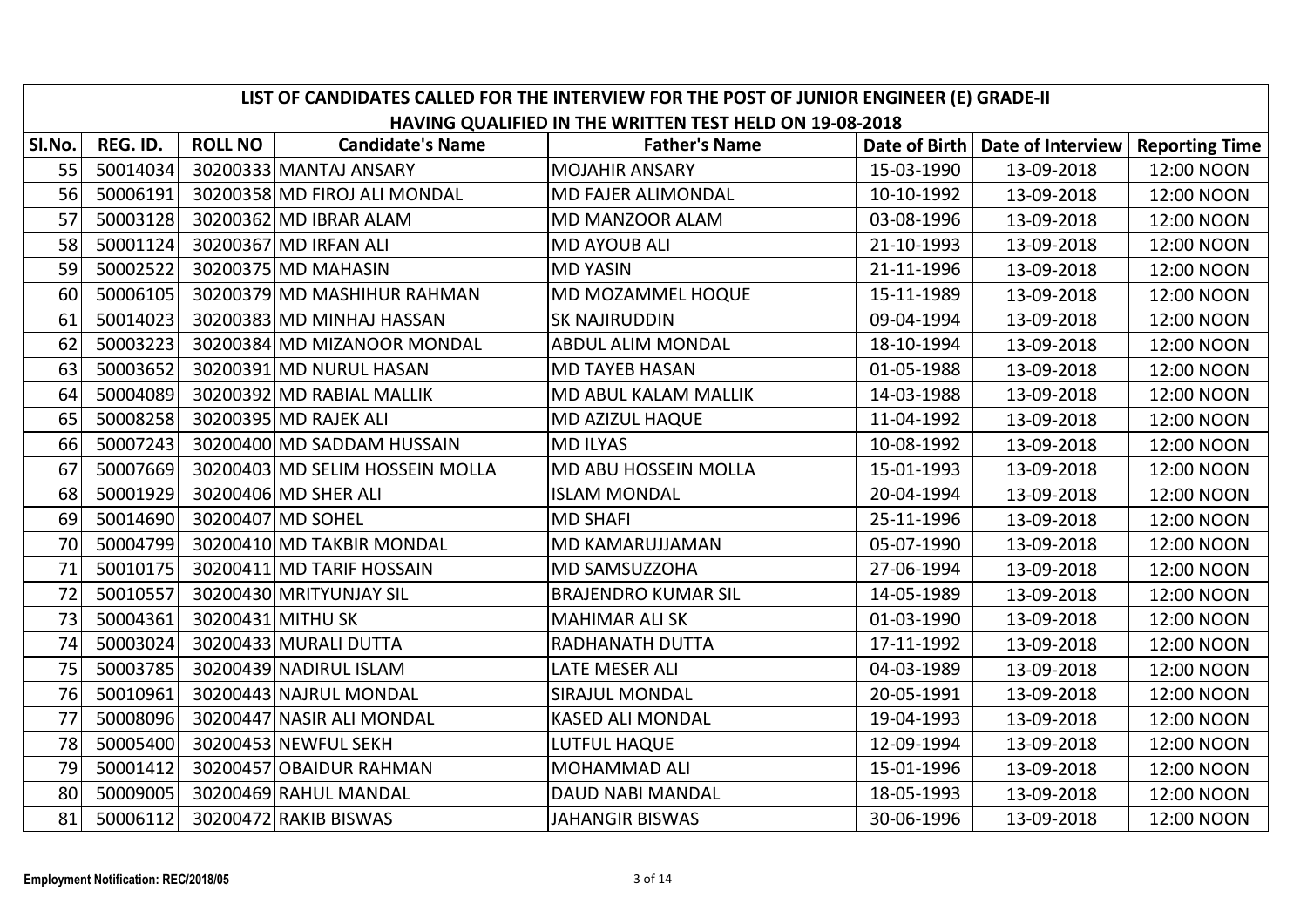|        | LIST OF CANDIDATES CALLED FOR THE INTERVIEW FOR THE POST OF JUNIOR ENGINEER (E) GRADE-II<br>HAVING QUALIFIED IN THE WRITTEN TEST HELD ON 19-08-2018 |                |                                 |                             |            |                                   |                       |  |  |  |  |
|--------|-----------------------------------------------------------------------------------------------------------------------------------------------------|----------------|---------------------------------|-----------------------------|------------|-----------------------------------|-----------------------|--|--|--|--|
| SI.No. | REG. ID.                                                                                                                                            | <b>ROLL NO</b> | <b>Candidate's Name</b>         | <b>Father's Name</b>        |            | Date of Birth   Date of Interview | <b>Reporting Time</b> |  |  |  |  |
| 55     | 50014034                                                                                                                                            |                | 30200333 MANTAJ ANSARY          | <b>MOJAHIR ANSARY</b>       | 15-03-1990 | 13-09-2018                        | 12:00 NOON            |  |  |  |  |
| 56     | 50006191                                                                                                                                            |                | 30200358 MD FIROJ ALI MONDAL    | <b>MD FAJER ALIMONDAL</b>   | 10-10-1992 | 13-09-2018                        | 12:00 NOON            |  |  |  |  |
| 57     | 50003128                                                                                                                                            |                | 30200362 MD IBRAR ALAM          | <b>MD MANZOOR ALAM</b>      | 03-08-1996 | 13-09-2018                        | 12:00 NOON            |  |  |  |  |
| 58     | 50001124                                                                                                                                            |                | 30200367 MD IRFAN ALI           | <b>MD AYOUB ALI</b>         | 21-10-1993 | 13-09-2018                        | 12:00 NOON            |  |  |  |  |
| 59     | 50002522                                                                                                                                            |                | 30200375 MD MAHASIN             | <b>MD YASIN</b>             | 21-11-1996 | 13-09-2018                        | 12:00 NOON            |  |  |  |  |
| 60     | 50006105                                                                                                                                            |                | 30200379 MD MASHIHUR RAHMAN     | MD MOZAMMEL HOQUE           | 15-11-1989 | 13-09-2018                        | 12:00 NOON            |  |  |  |  |
| 61     | 50014023                                                                                                                                            |                | 30200383 MD MINHAJ HASSAN       | <b>SK NAJIRUDDIN</b>        | 09-04-1994 | 13-09-2018                        | 12:00 NOON            |  |  |  |  |
| 62     | 50003223                                                                                                                                            |                | 30200384 MD MIZANOOR MONDAL     | <b>ABDUL ALIM MONDAL</b>    | 18-10-1994 | 13-09-2018                        | 12:00 NOON            |  |  |  |  |
| 63     | 50003652                                                                                                                                            |                | 30200391 MD NURUL HASAN         | <b>MD TAYEB HASAN</b>       | 01-05-1988 | 13-09-2018                        | 12:00 NOON            |  |  |  |  |
| 64     | 50004089                                                                                                                                            |                | 30200392 MD RABIAL MALLIK       | <b>MD ABUL KALAM MALLIK</b> | 14-03-1988 | 13-09-2018                        | 12:00 NOON            |  |  |  |  |
| 65     | 50008258                                                                                                                                            |                | 30200395 MD RAJEK ALI           | MD AZIZUL HAQUE             | 11-04-1992 | 13-09-2018                        | 12:00 NOON            |  |  |  |  |
| 66     | 50007243                                                                                                                                            |                | 30200400 MD SADDAM HUSSAIN      | <b>MD ILYAS</b>             | 10-08-1992 | 13-09-2018                        | 12:00 NOON            |  |  |  |  |
| 67     | 50007669                                                                                                                                            |                | 30200403 MD SELIM HOSSEIN MOLLA | MD ABU HOSSEIN MOLLA        | 15-01-1993 | 13-09-2018                        | 12:00 NOON            |  |  |  |  |
| 68     | 50001929                                                                                                                                            |                | 30200406 MD SHER ALI            | <b>ISLAM MONDAL</b>         | 20-04-1994 | 13-09-2018                        | 12:00 NOON            |  |  |  |  |
| 69     | 50014690                                                                                                                                            |                | 30200407 MD SOHEL               | <b>MD SHAFI</b>             | 25-11-1996 | 13-09-2018                        | 12:00 NOON            |  |  |  |  |
| 70     | 50004799                                                                                                                                            |                | 30200410 MD TAKBIR MONDAL       | MD KAMARUJJAMAN             | 05-07-1990 | 13-09-2018                        | 12:00 NOON            |  |  |  |  |
| 71     | 50010175                                                                                                                                            |                | 30200411 MD TARIF HOSSAIN       | MD SAMSUZZOHA               | 27-06-1994 | 13-09-2018                        | 12:00 NOON            |  |  |  |  |
| 72     | 50010557                                                                                                                                            |                | 30200430 MRITYUNJAY SIL         | <b>BRAJENDRO KUMAR SIL</b>  | 14-05-1989 | 13-09-2018                        | 12:00 NOON            |  |  |  |  |
| 73     | 50004361                                                                                                                                            |                | 30200431 MITHU SK               | <b>MAHIMAR ALI SK</b>       | 01-03-1990 | 13-09-2018                        | 12:00 NOON            |  |  |  |  |
| 74     | 50003024                                                                                                                                            |                | 30200433 MURALI DUTTA           | RADHANATH DUTTA             | 17-11-1992 | 13-09-2018                        | 12:00 NOON            |  |  |  |  |
| 75     | 50003785                                                                                                                                            |                | 30200439 NADIRUL ISLAM          | LATE MESER ALI              | 04-03-1989 | 13-09-2018                        | 12:00 NOON            |  |  |  |  |
| 76     | 50010961                                                                                                                                            |                | 30200443 NAJRUL MONDAL          | <b>SIRAJUL MONDAL</b>       | 20-05-1991 | 13-09-2018                        | 12:00 NOON            |  |  |  |  |
| 77     | 50008096                                                                                                                                            |                | 30200447 NASIR ALI MONDAL       | <b>KASED ALI MONDAL</b>     | 19-04-1993 | 13-09-2018                        | 12:00 NOON            |  |  |  |  |
| 78     | 50005400                                                                                                                                            |                | 30200453 NEWFUL SEKH            | <b>LUTFUL HAQUE</b>         | 12-09-1994 | 13-09-2018                        | 12:00 NOON            |  |  |  |  |
| 79     | 50001412                                                                                                                                            |                | 30200457 OBAIDUR RAHMAN         | <b>MOHAMMAD ALI</b>         | 15-01-1996 | 13-09-2018                        | 12:00 NOON            |  |  |  |  |
| 80     | 50009005                                                                                                                                            |                | 30200469 RAHUL MANDAL           | <b>DAUD NABI MANDAL</b>     | 18-05-1993 | 13-09-2018                        | 12:00 NOON            |  |  |  |  |
| 81     | 50006112                                                                                                                                            |                | 30200472 RAKIB BISWAS           | <b>JAHANGIR BISWAS</b>      | 30-06-1996 | 13-09-2018                        | 12:00 NOON            |  |  |  |  |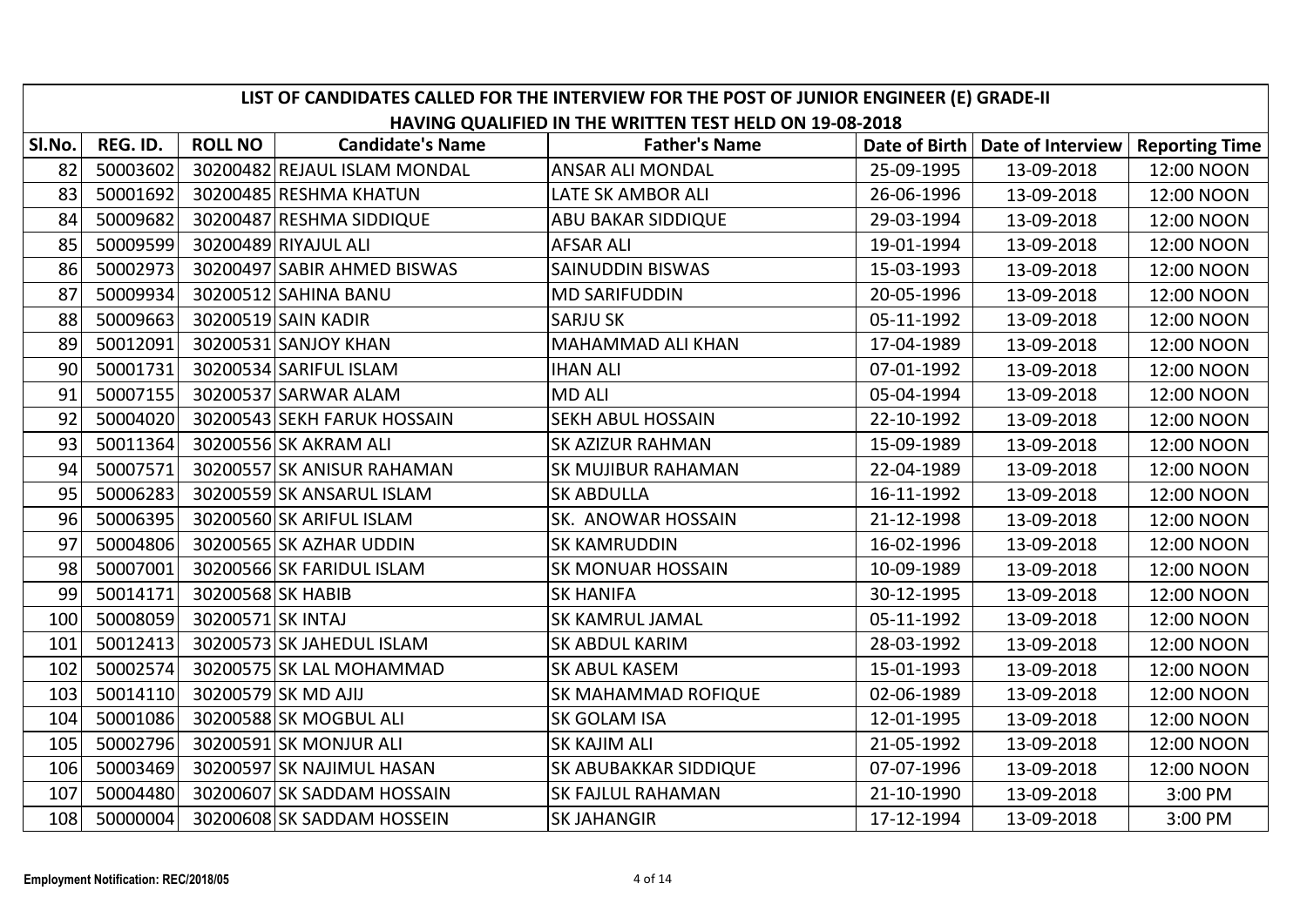|        | LIST OF CANDIDATES CALLED FOR THE INTERVIEW FOR THE POST OF JUNIOR ENGINEER (E) GRADE-II<br>HAVING QUALIFIED IN THE WRITTEN TEST HELD ON 19-08-2018 |                   |                              |                           |            |                                   |                       |  |  |  |  |
|--------|-----------------------------------------------------------------------------------------------------------------------------------------------------|-------------------|------------------------------|---------------------------|------------|-----------------------------------|-----------------------|--|--|--|--|
| SI.No. | REG. ID.                                                                                                                                            | <b>ROLL NO</b>    | <b>Candidate's Name</b>      | <b>Father's Name</b>      |            | Date of Birth   Date of Interview | <b>Reporting Time</b> |  |  |  |  |
| 82     | 50003602                                                                                                                                            |                   | 30200482 REJAUL ISLAM MONDAL | <b>ANSAR ALI MONDAL</b>   | 25-09-1995 | 13-09-2018                        | 12:00 NOON            |  |  |  |  |
| 83     | 50001692                                                                                                                                            |                   | 30200485 RESHMA KHATUN       | LATE SK AMBOR ALI         | 26-06-1996 | 13-09-2018                        | 12:00 NOON            |  |  |  |  |
| 84     | 50009682                                                                                                                                            |                   | 30200487 RESHMA SIDDIQUE     | <b>ABU BAKAR SIDDIQUE</b> | 29-03-1994 | 13-09-2018                        | 12:00 NOON            |  |  |  |  |
| 85     | 50009599                                                                                                                                            |                   | 30200489 RIYAJUL ALI         | <b>AFSAR ALI</b>          | 19-01-1994 | 13-09-2018                        | 12:00 NOON            |  |  |  |  |
| 86     | 50002973                                                                                                                                            |                   | 30200497 SABIR AHMED BISWAS  | <b>SAINUDDIN BISWAS</b>   | 15-03-1993 | 13-09-2018                        | 12:00 NOON            |  |  |  |  |
| 87     | 50009934                                                                                                                                            |                   | 30200512 SAHINA BANU         | <b>MD SARIFUDDIN</b>      | 20-05-1996 | 13-09-2018                        | 12:00 NOON            |  |  |  |  |
| 88     | 50009663                                                                                                                                            |                   | 30200519 SAIN KADIR          | <b>SARJU SK</b>           | 05-11-1992 | 13-09-2018                        | 12:00 NOON            |  |  |  |  |
| 89     | 50012091                                                                                                                                            |                   | 30200531 SANJOY KHAN         | <b>MAHAMMAD ALI KHAN</b>  | 17-04-1989 | 13-09-2018                        | 12:00 NOON            |  |  |  |  |
| 90     | 50001731                                                                                                                                            |                   | 30200534 SARIFUL ISLAM       | <b>IHAN ALI</b>           | 07-01-1992 | 13-09-2018                        | 12:00 NOON            |  |  |  |  |
| 91     | 50007155                                                                                                                                            |                   | 30200537 SARWAR ALAM         | <b>MD ALI</b>             | 05-04-1994 | 13-09-2018                        | 12:00 NOON            |  |  |  |  |
| 92     | 50004020                                                                                                                                            |                   | 30200543 SEKH FARUK HOSSAIN  | <b>SEKH ABUL HOSSAIN</b>  | 22-10-1992 | 13-09-2018                        | 12:00 NOON            |  |  |  |  |
| 93     | 50011364                                                                                                                                            |                   | 30200556 SK AKRAM ALI        | <b>SK AZIZUR RAHMAN</b>   | 15-09-1989 | 13-09-2018                        | 12:00 NOON            |  |  |  |  |
| 94     | 50007571                                                                                                                                            |                   | 30200557 SK ANISUR RAHAMAN   | SK MUJIBUR RAHAMAN        | 22-04-1989 | 13-09-2018                        | 12:00 NOON            |  |  |  |  |
| 95     | 50006283                                                                                                                                            |                   | 30200559 SK ANSARUL ISLAM    | <b>SK ABDULLA</b>         | 16-11-1992 | 13-09-2018                        | 12:00 NOON            |  |  |  |  |
| 96     | 50006395                                                                                                                                            |                   | 30200560 SK ARIFUL ISLAM     | SK. ANOWAR HOSSAIN        | 21-12-1998 | 13-09-2018                        | 12:00 NOON            |  |  |  |  |
| 97     | 50004806                                                                                                                                            |                   | 30200565 SK AZHAR UDDIN      | <b>SK KAMRUDDIN</b>       | 16-02-1996 | 13-09-2018                        | 12:00 NOON            |  |  |  |  |
| 98     | 50007001                                                                                                                                            |                   | 30200566 SK FARIDUL ISLAM    | <b>SK MONUAR HOSSAIN</b>  | 10-09-1989 | 13-09-2018                        | 12:00 NOON            |  |  |  |  |
| 99     | 50014171                                                                                                                                            | 30200568 SK HABIB |                              | <b>SK HANIFA</b>          | 30-12-1995 | 13-09-2018                        | 12:00 NOON            |  |  |  |  |
| 100    | 50008059                                                                                                                                            | 30200571 SK INTAJ |                              | <b>SK KAMRUL JAMAL</b>    | 05-11-1992 | 13-09-2018                        | 12:00 NOON            |  |  |  |  |
| 101    | 50012413                                                                                                                                            |                   | 30200573 SK JAHEDUL ISLAM    | SK ABDUL KARIM            | 28-03-1992 | 13-09-2018                        | 12:00 NOON            |  |  |  |  |
| 102    | 50002574                                                                                                                                            |                   | 30200575 SK LAL MOHAMMAD     | SK ABUL KASEM             | 15-01-1993 | 13-09-2018                        | 12:00 NOON            |  |  |  |  |
| 103    | 50014110                                                                                                                                            |                   | 30200579 SK MD AJIJ          | SK MAHAMMAD ROFIQUE       | 02-06-1989 | 13-09-2018                        | 12:00 NOON            |  |  |  |  |
| 104    | 50001086                                                                                                                                            |                   | 30200588 SK MOGBUL ALI       | SK GOLAM ISA              | 12-01-1995 | 13-09-2018                        | 12:00 NOON            |  |  |  |  |
| 105    | 50002796                                                                                                                                            |                   | 30200591 SK MONJUR ALI       | <b>SK KAJIM ALI</b>       | 21-05-1992 | 13-09-2018                        | 12:00 NOON            |  |  |  |  |
| 106    | 50003469                                                                                                                                            |                   | 30200597 SK NAJIMUL HASAN    | SK ABUBAKKAR SIDDIQUE     | 07-07-1996 | 13-09-2018                        | 12:00 NOON            |  |  |  |  |
| 107    | 50004480                                                                                                                                            |                   | 30200607 SK SADDAM HOSSAIN   | <b>SK FAJLUL RAHAMAN</b>  | 21-10-1990 | 13-09-2018                        | 3:00 PM               |  |  |  |  |
| 108    | 50000004                                                                                                                                            |                   | 30200608 SK SADDAM HOSSEIN   | <b>SK JAHANGIR</b>        | 17-12-1994 | 13-09-2018                        | 3:00 PM               |  |  |  |  |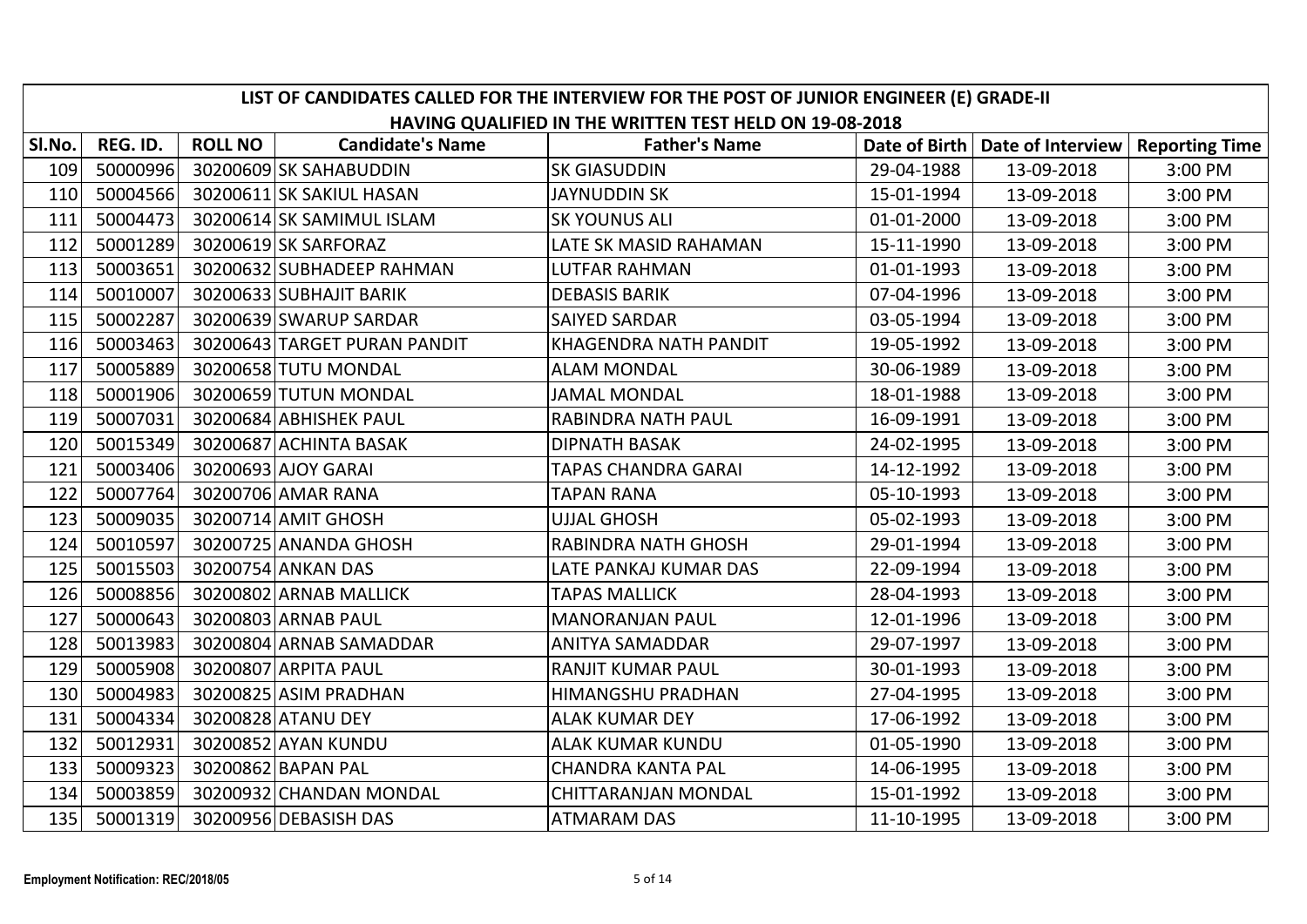|        | LIST OF CANDIDATES CALLED FOR THE INTERVIEW FOR THE POST OF JUNIOR ENGINEER (E) GRADE-II<br>HAVING QUALIFIED IN THE WRITTEN TEST HELD ON 19-08-2018 |                |                              |                              |            |                                   |                       |  |  |  |
|--------|-----------------------------------------------------------------------------------------------------------------------------------------------------|----------------|------------------------------|------------------------------|------------|-----------------------------------|-----------------------|--|--|--|
| SI.No. | REG. ID.                                                                                                                                            | <b>ROLL NO</b> | <b>Candidate's Name</b>      | <b>Father's Name</b>         |            | Date of Birth   Date of Interview | <b>Reporting Time</b> |  |  |  |
| 109    | 50000996                                                                                                                                            |                | 30200609 SK SAHABUDDIN       | <b>SK GIASUDDIN</b>          | 29-04-1988 | 13-09-2018                        | 3:00 PM               |  |  |  |
| 110    | 50004566                                                                                                                                            |                | 30200611 SK SAKIUL HASAN     | <b>JAYNUDDIN SK</b>          | 15-01-1994 | 13-09-2018                        | 3:00 PM               |  |  |  |
| 111    | 50004473                                                                                                                                            |                | 30200614 SK SAMIMUL ISLAM    | <b>SK YOUNUS ALI</b>         | 01-01-2000 | 13-09-2018                        | 3:00 PM               |  |  |  |
| 112    | 50001289                                                                                                                                            |                | 30200619 SK SARFORAZ         | LATE SK MASID RAHAMAN        | 15-11-1990 | 13-09-2018                        | 3:00 PM               |  |  |  |
| 113    | 50003651                                                                                                                                            |                | 30200632 SUBHADEEP RAHMAN    | <b>LUTFAR RAHMAN</b>         | 01-01-1993 | 13-09-2018                        | 3:00 PM               |  |  |  |
| 114    | 50010007                                                                                                                                            |                | 30200633 SUBHAJIT BARIK      | <b>DEBASIS BARIK</b>         | 07-04-1996 | 13-09-2018                        | 3:00 PM               |  |  |  |
| 115    | 50002287                                                                                                                                            |                | 30200639 SWARUP SARDAR       | <b>SAIYED SARDAR</b>         | 03-05-1994 | 13-09-2018                        | 3:00 PM               |  |  |  |
| 116    | 50003463                                                                                                                                            |                | 30200643 TARGET PURAN PANDIT | <b>KHAGENDRA NATH PANDIT</b> | 19-05-1992 | 13-09-2018                        | 3:00 PM               |  |  |  |
| 117    | 50005889                                                                                                                                            |                | 30200658 TUTU MONDAL         | <b>ALAM MONDAL</b>           | 30-06-1989 | 13-09-2018                        | 3:00 PM               |  |  |  |
| 118    | 50001906                                                                                                                                            |                | 30200659 TUTUN MONDAL        | <b>JAMAL MONDAL</b>          | 18-01-1988 | 13-09-2018                        | 3:00 PM               |  |  |  |
| 119    | 50007031                                                                                                                                            |                | 30200684 ABHISHEK PAUL       | <b>RABINDRA NATH PAUL</b>    | 16-09-1991 | 13-09-2018                        | 3:00 PM               |  |  |  |
| 120    | 50015349                                                                                                                                            |                | 30200687 ACHINTA BASAK       | <b>DIPNATH BASAK</b>         | 24-02-1995 | 13-09-2018                        | 3:00 PM               |  |  |  |
| 121    | 50003406                                                                                                                                            |                | 30200693 AJOY GARAI          | <b>TAPAS CHANDRA GARAI</b>   | 14-12-1992 | 13-09-2018                        | 3:00 PM               |  |  |  |
| 122    | 50007764                                                                                                                                            |                | 30200706 AMAR RANA           | <b>TAPAN RANA</b>            | 05-10-1993 | 13-09-2018                        | 3:00 PM               |  |  |  |
| 123    | 50009035                                                                                                                                            |                | 30200714 AMIT GHOSH          | <b>UJJAL GHOSH</b>           | 05-02-1993 | 13-09-2018                        | 3:00 PM               |  |  |  |
| 124    | 50010597                                                                                                                                            |                | 30200725 ANANDA GHOSH        | <b>RABINDRA NATH GHOSH</b>   | 29-01-1994 | 13-09-2018                        | 3:00 PM               |  |  |  |
| 125    | 50015503                                                                                                                                            |                | 30200754 ANKAN DAS           | LATE PANKAJ KUMAR DAS        | 22-09-1994 | 13-09-2018                        | 3:00 PM               |  |  |  |
| 126    | 50008856                                                                                                                                            |                | 30200802 ARNAB MALLICK       | <b>TAPAS MALLICK</b>         | 28-04-1993 | 13-09-2018                        | 3:00 PM               |  |  |  |
| 127    | 50000643                                                                                                                                            |                | 30200803 ARNAB PAUL          | <b>MANORANJAN PAUL</b>       | 12-01-1996 | 13-09-2018                        | 3:00 PM               |  |  |  |
| 128    | 50013983                                                                                                                                            |                | 30200804 ARNAB SAMADDAR      | <b>ANITYA SAMADDAR</b>       | 29-07-1997 | 13-09-2018                        | 3:00 PM               |  |  |  |
| 129    | 50005908                                                                                                                                            |                | 30200807 ARPITA PAUL         | <b>RANJIT KUMAR PAUL</b>     | 30-01-1993 | 13-09-2018                        | 3:00 PM               |  |  |  |
| 130    | 50004983                                                                                                                                            |                | 30200825 ASIM PRADHAN        | HIMANGSHU PRADHAN            | 27-04-1995 | 13-09-2018                        | 3:00 PM               |  |  |  |
| 131    | 50004334                                                                                                                                            |                | 30200828 ATANU DEY           | <b>ALAK KUMAR DEY</b>        | 17-06-1992 | 13-09-2018                        | 3:00 PM               |  |  |  |
| 132    | 50012931                                                                                                                                            |                | 30200852 AYAN KUNDU          | <b>ALAK KUMAR KUNDU</b>      | 01-05-1990 | 13-09-2018                        | 3:00 PM               |  |  |  |
| 133    | 50009323                                                                                                                                            |                | 30200862 BAPAN PAL           | <b>CHANDRA KANTA PAL</b>     | 14-06-1995 | 13-09-2018                        | 3:00 PM               |  |  |  |
| 134    | 50003859                                                                                                                                            |                | 30200932 CHANDAN MONDAL      | <b>CHITTARANJAN MONDAL</b>   | 15-01-1992 | 13-09-2018                        | 3:00 PM               |  |  |  |
| 135    | 50001319                                                                                                                                            |                | 30200956 DEBASISH DAS        | <b>ATMARAM DAS</b>           | 11-10-1995 | 13-09-2018                        | 3:00 PM               |  |  |  |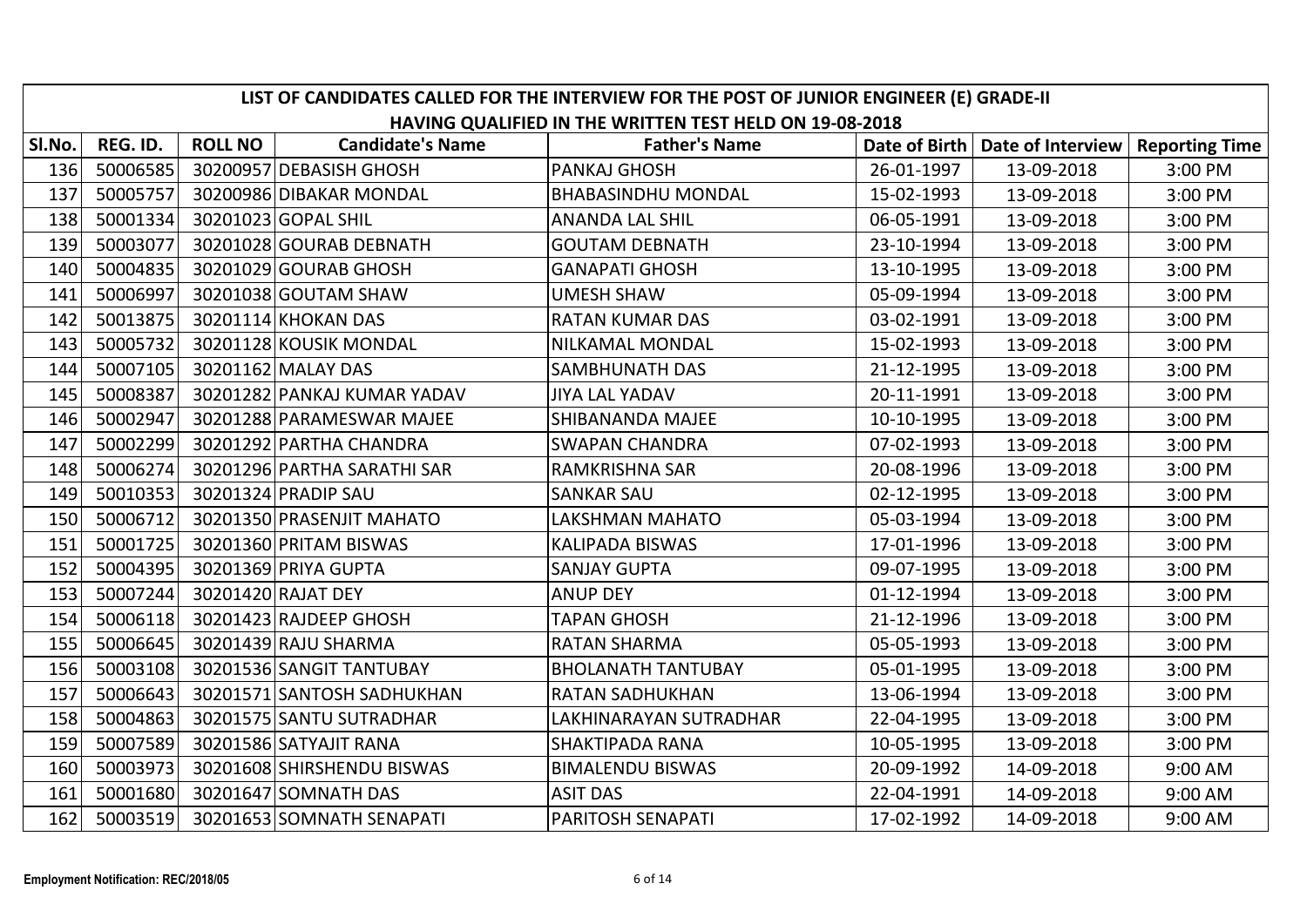|            | LIST OF CANDIDATES CALLED FOR THE INTERVIEW FOR THE POST OF JUNIOR ENGINEER (E) GRADE-II<br>HAVING QUALIFIED IN THE WRITTEN TEST HELD ON 19-08-2018 |                |                             |                           |            |                                   |                       |  |  |  |  |
|------------|-----------------------------------------------------------------------------------------------------------------------------------------------------|----------------|-----------------------------|---------------------------|------------|-----------------------------------|-----------------------|--|--|--|--|
| SI.No.     | REG. ID.                                                                                                                                            | <b>ROLL NO</b> | <b>Candidate's Name</b>     | <b>Father's Name</b>      |            | Date of Birth   Date of Interview | <b>Reporting Time</b> |  |  |  |  |
| 136        | 50006585                                                                                                                                            |                | 30200957 DEBASISH GHOSH     | <b>PANKAJ GHOSH</b>       | 26-01-1997 | 13-09-2018                        | 3:00 PM               |  |  |  |  |
| 137        | 50005757                                                                                                                                            |                | 30200986 DIBAKAR MONDAL     | <b>BHABASINDHU MONDAL</b> | 15-02-1993 | 13-09-2018                        | 3:00 PM               |  |  |  |  |
| 138        | 50001334                                                                                                                                            |                | 30201023 GOPAL SHIL         | <b>ANANDA LAL SHIL</b>    | 06-05-1991 | 13-09-2018                        | 3:00 PM               |  |  |  |  |
| 139        | 50003077                                                                                                                                            |                | 30201028 GOURAB DEBNATH     | <b>GOUTAM DEBNATH</b>     | 23-10-1994 | 13-09-2018                        | 3:00 PM               |  |  |  |  |
| 140        | 50004835                                                                                                                                            |                | 30201029 GOURAB GHOSH       | <b>GANAPATI GHOSH</b>     | 13-10-1995 | 13-09-2018                        | 3:00 PM               |  |  |  |  |
| 141        | 50006997                                                                                                                                            |                | 30201038 GOUTAM SHAW        | <b>UMESH SHAW</b>         | 05-09-1994 | 13-09-2018                        | 3:00 PM               |  |  |  |  |
| 142        | 50013875                                                                                                                                            |                | 30201114 KHOKAN DAS         | <b>RATAN KUMAR DAS</b>    | 03-02-1991 | 13-09-2018                        | 3:00 PM               |  |  |  |  |
| 143        | 50005732                                                                                                                                            |                | 30201128 KOUSIK MONDAL      | <b>NILKAMAL MONDAL</b>    | 15-02-1993 | 13-09-2018                        | 3:00 PM               |  |  |  |  |
| 144        | 50007105                                                                                                                                            |                | 30201162 MALAY DAS          | <b>SAMBHUNATH DAS</b>     | 21-12-1995 | 13-09-2018                        | 3:00 PM               |  |  |  |  |
| 145        | 50008387                                                                                                                                            |                | 30201282 PANKAJ KUMAR YADAV | <b>JIYA LAL YADAV</b>     | 20-11-1991 | 13-09-2018                        | 3:00 PM               |  |  |  |  |
| <b>146</b> | 50002947                                                                                                                                            |                | 30201288 PARAMESWAR MAJEE   | SHIBANANDA MAJEE          | 10-10-1995 | 13-09-2018                        | 3:00 PM               |  |  |  |  |
| 147        | 50002299                                                                                                                                            |                | 30201292 PARTHA CHANDRA     | <b>SWAPAN CHANDRA</b>     | 07-02-1993 | 13-09-2018                        | 3:00 PM               |  |  |  |  |
| 148        | 50006274                                                                                                                                            |                | 30201296 PARTHA SARATHI SAR | <b>RAMKRISHNA SAR</b>     | 20-08-1996 | 13-09-2018                        | 3:00 PM               |  |  |  |  |
| 149        | 50010353                                                                                                                                            |                | 30201324 PRADIP SAU         | <b>SANKAR SAU</b>         | 02-12-1995 | 13-09-2018                        | 3:00 PM               |  |  |  |  |
| 150        | 50006712                                                                                                                                            |                | 30201350 PRASENJIT MAHATO   | <b>LAKSHMAN MAHATO</b>    | 05-03-1994 | 13-09-2018                        | 3:00 PM               |  |  |  |  |
| 151        | 50001725                                                                                                                                            |                | 30201360 PRITAM BISWAS      | <b>KALIPADA BISWAS</b>    | 17-01-1996 | 13-09-2018                        | 3:00 PM               |  |  |  |  |
| 152        | 50004395                                                                                                                                            |                | 30201369 PRIYA GUPTA        | <b>SANJAY GUPTA</b>       | 09-07-1995 | 13-09-2018                        | 3:00 PM               |  |  |  |  |
| 153        | 50007244                                                                                                                                            |                | 30201420 RAJAT DEY          | <b>ANUP DEY</b>           | 01-12-1994 | 13-09-2018                        | 3:00 PM               |  |  |  |  |
| 154        | 50006118                                                                                                                                            |                | 30201423 RAJDEEP GHOSH      | <b>TAPAN GHOSH</b>        | 21-12-1996 | 13-09-2018                        | 3:00 PM               |  |  |  |  |
| 155        | 50006645                                                                                                                                            |                | 30201439 RAJU SHARMA        | <b>RATAN SHARMA</b>       | 05-05-1993 | 13-09-2018                        | 3:00 PM               |  |  |  |  |
| 156        | 50003108                                                                                                                                            |                | 30201536 SANGIT TANTUBAY    | <b>BHOLANATH TANTUBAY</b> | 05-01-1995 | 13-09-2018                        | 3:00 PM               |  |  |  |  |
| 157        | 50006643                                                                                                                                            |                | 30201571 SANTOSH SADHUKHAN  | <b>RATAN SADHUKHAN</b>    | 13-06-1994 | 13-09-2018                        | 3:00 PM               |  |  |  |  |
| 158        | 50004863                                                                                                                                            |                | 30201575 SANTU SUTRADHAR    | LAKHINARAYAN SUTRADHAR    | 22-04-1995 | 13-09-2018                        | 3:00 PM               |  |  |  |  |
| 159        | 50007589                                                                                                                                            |                | 30201586 SATYAJIT RANA      | <b>SHAKTIPADA RANA</b>    | 10-05-1995 | 13-09-2018                        | 3:00 PM               |  |  |  |  |
| 160        | 50003973                                                                                                                                            |                | 30201608 SHIRSHENDU BISWAS  | <b>BIMALENDU BISWAS</b>   | 20-09-1992 | 14-09-2018                        | 9:00 AM               |  |  |  |  |
| 161        | 50001680                                                                                                                                            |                | 30201647 SOMNATH DAS        | <b>ASIT DAS</b>           | 22-04-1991 | 14-09-2018                        | 9:00 AM               |  |  |  |  |
| 162        | 50003519                                                                                                                                            |                | 30201653 SOMNATH SENAPATI   | PARITOSH SENAPATI         | 17-02-1992 | 14-09-2018                        | 9:00 AM               |  |  |  |  |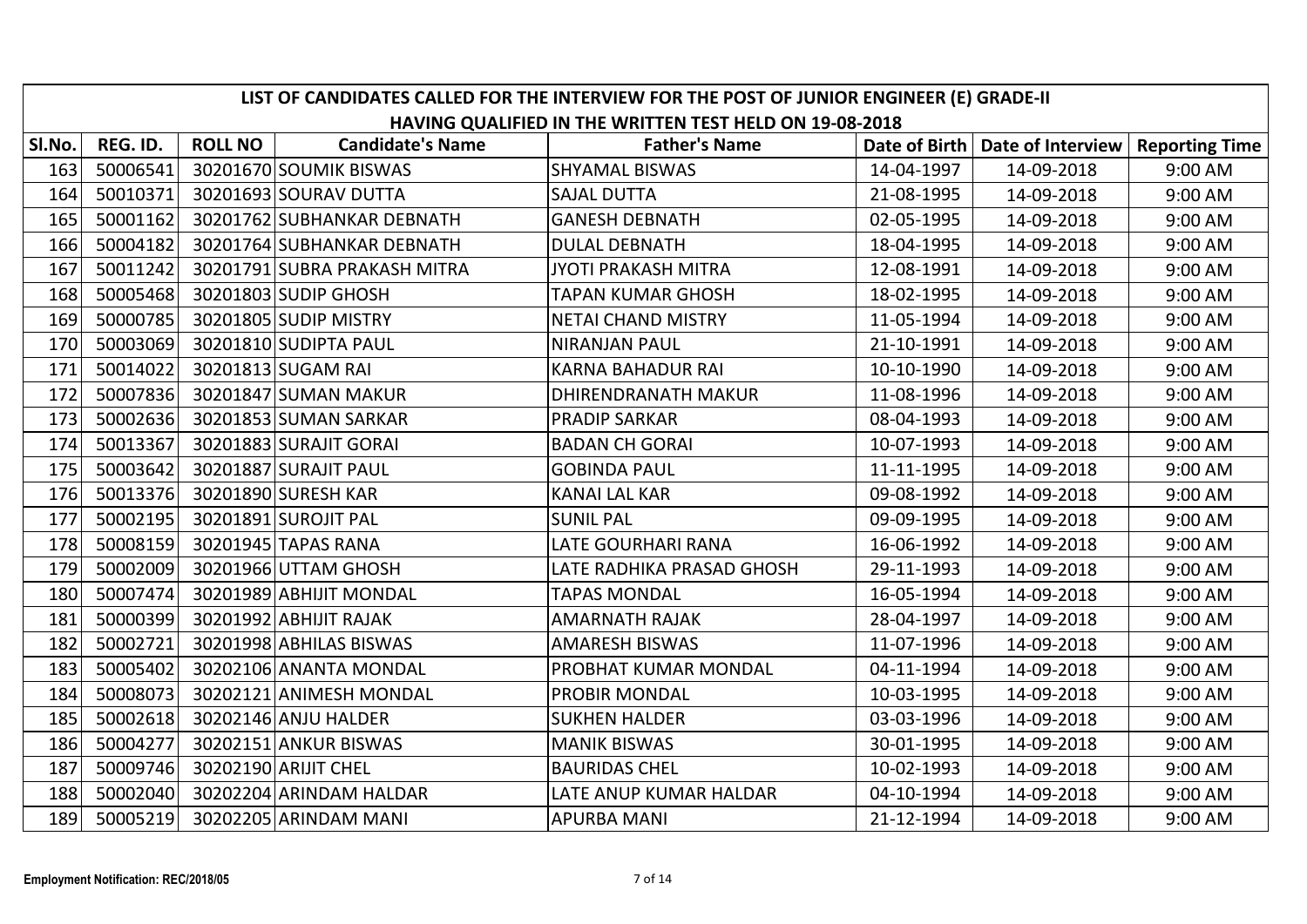|        | LIST OF CANDIDATES CALLED FOR THE INTERVIEW FOR THE POST OF JUNIOR ENGINEER (E) GRADE-II<br>HAVING QUALIFIED IN THE WRITTEN TEST HELD ON 19-08-2018 |                |                              |                            |            |                                   |                       |  |  |  |
|--------|-----------------------------------------------------------------------------------------------------------------------------------------------------|----------------|------------------------------|----------------------------|------------|-----------------------------------|-----------------------|--|--|--|
| SI.No. | REG. ID.                                                                                                                                            | <b>ROLL NO</b> | <b>Candidate's Name</b>      | <b>Father's Name</b>       |            | Date of Birth   Date of Interview | <b>Reporting Time</b> |  |  |  |
| 163    | 50006541                                                                                                                                            |                | 30201670 SOUMIK BISWAS       | <b>SHYAMAL BISWAS</b>      | 14-04-1997 | 14-09-2018                        | 9:00 AM               |  |  |  |
| 164    | 50010371                                                                                                                                            |                | 30201693 SOURAV DUTTA        | <b>SAJAL DUTTA</b>         | 21-08-1995 | 14-09-2018                        | 9:00 AM               |  |  |  |
| 165    | 50001162                                                                                                                                            |                | 30201762 SUBHANKAR DEBNATH   | <b>GANESH DEBNATH</b>      | 02-05-1995 | 14-09-2018                        | 9:00 AM               |  |  |  |
| 166    | 50004182                                                                                                                                            |                | 30201764 SUBHANKAR DEBNATH   | <b>DULAL DEBNATH</b>       | 18-04-1995 | 14-09-2018                        | 9:00 AM               |  |  |  |
| 167    | 50011242                                                                                                                                            |                | 30201791 SUBRA PRAKASH MITRA | <b>JYOTI PRAKASH MITRA</b> | 12-08-1991 | 14-09-2018                        | 9:00 AM               |  |  |  |
| 168    | 50005468                                                                                                                                            |                | 30201803 SUDIP GHOSH         | <b>TAPAN KUMAR GHOSH</b>   | 18-02-1995 | 14-09-2018                        | 9:00 AM               |  |  |  |
| 169    | 50000785                                                                                                                                            |                | 30201805 SUDIP MISTRY        | <b>NETAI CHAND MISTRY</b>  | 11-05-1994 | 14-09-2018                        | 9:00 AM               |  |  |  |
| 170    | 50003069                                                                                                                                            |                | 30201810 SUDIPTA PAUL        | <b>NIRANJAN PAUL</b>       | 21-10-1991 | 14-09-2018                        | 9:00 AM               |  |  |  |
| 171    | 50014022                                                                                                                                            |                | 30201813 SUGAM RAI           | <b>KARNA BAHADUR RAI</b>   | 10-10-1990 | 14-09-2018                        | 9:00 AM               |  |  |  |
| 172    | 50007836                                                                                                                                            |                | 30201847 SUMAN MAKUR         | <b>DHIRENDRANATH MAKUR</b> | 11-08-1996 | 14-09-2018                        | 9:00 AM               |  |  |  |
| 173    | 50002636                                                                                                                                            |                | 30201853 SUMAN SARKAR        | <b>PRADIP SARKAR</b>       | 08-04-1993 | 14-09-2018                        | 9:00 AM               |  |  |  |
| 174    | 50013367                                                                                                                                            |                | 30201883 SURAJIT GORAI       | <b>BADAN CH GORAI</b>      | 10-07-1993 | 14-09-2018                        | 9:00 AM               |  |  |  |
| 175    | 50003642                                                                                                                                            |                | 30201887 SURAJIT PAUL        | <b>GOBINDA PAUL</b>        | 11-11-1995 | 14-09-2018                        | 9:00 AM               |  |  |  |
| 176    | 50013376                                                                                                                                            |                | 30201890 SURESH KAR          | <b>KANAI LAL KAR</b>       | 09-08-1992 | 14-09-2018                        | 9:00 AM               |  |  |  |
| 177    | 50002195                                                                                                                                            |                | 30201891 SUROJIT PAL         | <b>SUNIL PAL</b>           | 09-09-1995 | 14-09-2018                        | 9:00 AM               |  |  |  |
| 178    | 50008159                                                                                                                                            |                | 30201945 TAPAS RANA          | <b>LATE GOURHARI RANA</b>  | 16-06-1992 | 14-09-2018                        | 9:00 AM               |  |  |  |
| 179    | 50002009                                                                                                                                            |                | 30201966 UTTAM GHOSH         | LATE RADHIKA PRASAD GHOSH  | 29-11-1993 | 14-09-2018                        | 9:00 AM               |  |  |  |
| 180    | 50007474                                                                                                                                            |                | 30201989 ABHIJIT MONDAL      | <b>TAPAS MONDAL</b>        | 16-05-1994 | 14-09-2018                        | 9:00 AM               |  |  |  |
| 181    | 50000399                                                                                                                                            |                | 30201992 ABHIJIT RAJAK       | <b>AMARNATH RAJAK</b>      | 28-04-1997 | 14-09-2018                        | 9:00 AM               |  |  |  |
| 182    | 50002721                                                                                                                                            |                | 30201998 ABHILAS BISWAS      | <b>AMARESH BISWAS</b>      | 11-07-1996 | 14-09-2018                        | 9:00 AM               |  |  |  |
| 183    | 50005402                                                                                                                                            |                | 30202106 ANANTA MONDAL       | PROBHAT KUMAR MONDAL       | 04-11-1994 | 14-09-2018                        | 9:00 AM               |  |  |  |
| 184    | 50008073                                                                                                                                            |                | 30202121 ANIMESH MONDAL      | PROBIR MONDAL              | 10-03-1995 | 14-09-2018                        | 9:00 AM               |  |  |  |
| 185    | 50002618                                                                                                                                            |                | 30202146 ANJU HALDER         | <b>SUKHEN HALDER</b>       | 03-03-1996 | 14-09-2018                        | 9:00 AM               |  |  |  |
| 186    | 50004277                                                                                                                                            |                | 30202151 ANKUR BISWAS        | <b>MANIK BISWAS</b>        | 30-01-1995 | 14-09-2018                        | 9:00 AM               |  |  |  |
| 187    | 50009746                                                                                                                                            |                | 30202190 ARIJIT CHEL         | <b>BAURIDAS CHEL</b>       | 10-02-1993 | 14-09-2018                        | 9:00 AM               |  |  |  |
| 188    | 50002040                                                                                                                                            |                | 30202204 ARINDAM HALDAR      | LATE ANUP KUMAR HALDAR     | 04-10-1994 | 14-09-2018                        | 9:00 AM               |  |  |  |
| 189    | 50005219                                                                                                                                            |                | 30202205 ARINDAM MANI        | <b>APURBA MANI</b>         | 21-12-1994 | 14-09-2018                        | 9:00 AM               |  |  |  |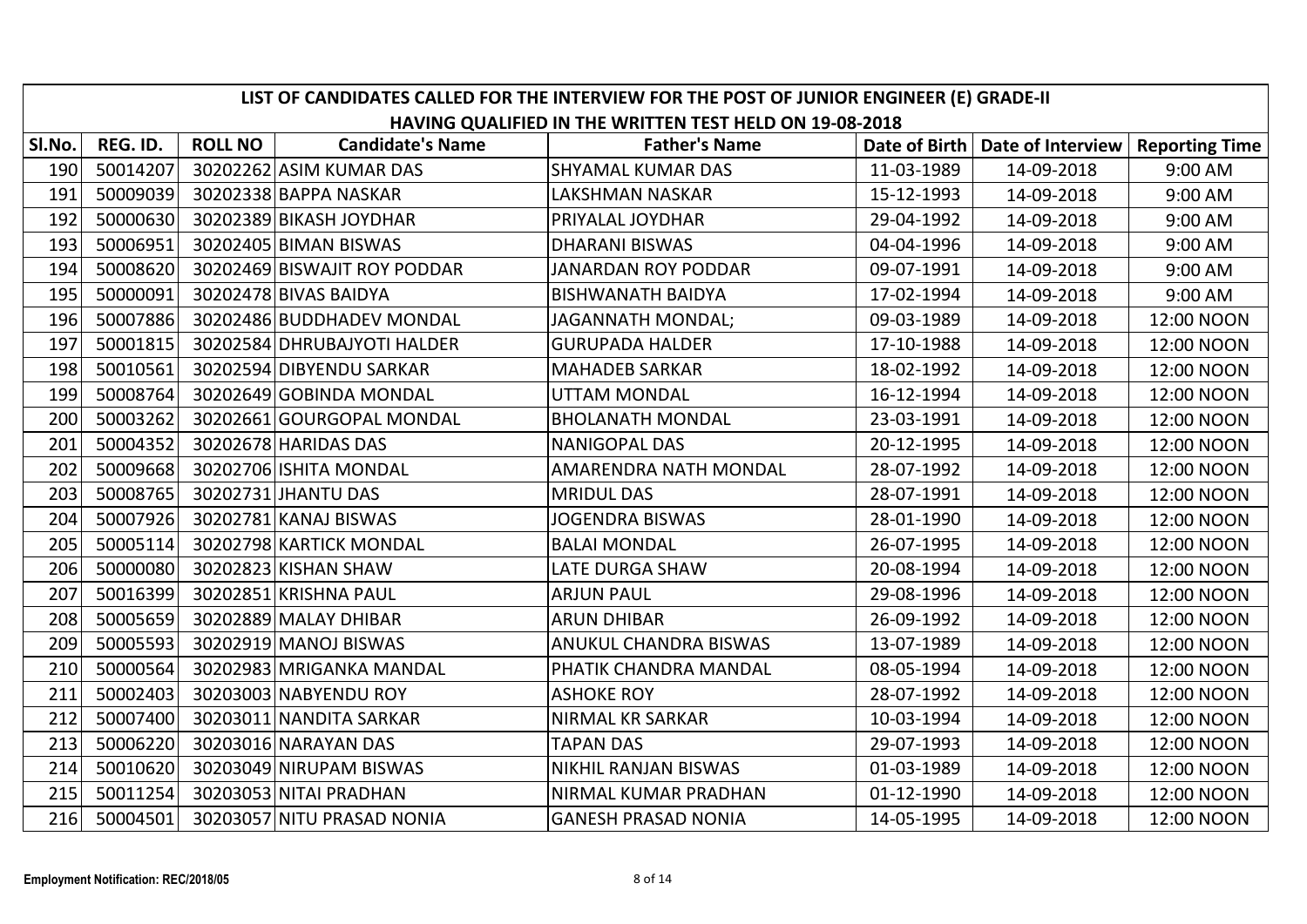|        | LIST OF CANDIDATES CALLED FOR THE INTERVIEW FOR THE POST OF JUNIOR ENGINEER (E) GRADE-II<br>HAVING QUALIFIED IN THE WRITTEN TEST HELD ON 19-08-2018 |                |                              |                              |            |                                   |                       |  |  |  |
|--------|-----------------------------------------------------------------------------------------------------------------------------------------------------|----------------|------------------------------|------------------------------|------------|-----------------------------------|-----------------------|--|--|--|
| SI.No. | REG. ID.                                                                                                                                            | <b>ROLL NO</b> | <b>Candidate's Name</b>      | <b>Father's Name</b>         |            | Date of Birth   Date of Interview | <b>Reporting Time</b> |  |  |  |
| 190    | 50014207                                                                                                                                            |                | 30202262 ASIM KUMAR DAS      | <b>SHYAMAL KUMAR DAS</b>     | 11-03-1989 | 14-09-2018                        | 9:00 AM               |  |  |  |
| 191    | 50009039                                                                                                                                            |                | 30202338 BAPPA NASKAR        | <b>LAKSHMAN NASKAR</b>       | 15-12-1993 | 14-09-2018                        | 9:00 AM               |  |  |  |
| 192    | 50000630                                                                                                                                            |                | 30202389 BIKASH JOYDHAR      | PRIYALAL JOYDHAR             | 29-04-1992 | 14-09-2018                        | 9:00 AM               |  |  |  |
| 193    | 50006951                                                                                                                                            |                | 30202405 BIMAN BISWAS        | <b>DHARANI BISWAS</b>        | 04-04-1996 | 14-09-2018                        | 9:00 AM               |  |  |  |
| 194    | 50008620                                                                                                                                            |                | 30202469 BISWAJIT ROY PODDAR | <b>JANARDAN ROY PODDAR</b>   | 09-07-1991 | 14-09-2018                        | 9:00 AM               |  |  |  |
| 195    | 50000091                                                                                                                                            |                | 30202478 BIVAS BAIDYA        | <b>BISHWANATH BAIDYA</b>     | 17-02-1994 | 14-09-2018                        | 9:00 AM               |  |  |  |
| 196    | 50007886                                                                                                                                            |                | 30202486 BUDDHADEV MONDAL    | <b>JAGANNATH MONDAL;</b>     | 09-03-1989 | 14-09-2018                        | 12:00 NOON            |  |  |  |
| 197    | 50001815                                                                                                                                            |                | 30202584 DHRUBAJYOTI HALDER  | <b>GURUPADA HALDER</b>       | 17-10-1988 | 14-09-2018                        | 12:00 NOON            |  |  |  |
| 198    | 50010561                                                                                                                                            |                | 30202594 DIBYENDU SARKAR     | <b>MAHADEB SARKAR</b>        | 18-02-1992 | 14-09-2018                        | 12:00 NOON            |  |  |  |
| 199    | 50008764                                                                                                                                            |                | 30202649 GOBINDA MONDAL      | <b>UTTAM MONDAL</b>          | 16-12-1994 | 14-09-2018                        | 12:00 NOON            |  |  |  |
| 200    | 50003262                                                                                                                                            |                | 30202661 GOURGOPAL MONDAL    | <b>BHOLANATH MONDAL</b>      | 23-03-1991 | 14-09-2018                        | 12:00 NOON            |  |  |  |
| 201    | 50004352                                                                                                                                            |                | 30202678 HARIDAS DAS         | <b>NANIGOPAL DAS</b>         | 20-12-1995 | 14-09-2018                        | 12:00 NOON            |  |  |  |
| 202    | 50009668                                                                                                                                            |                | 30202706 ISHITA MONDAL       | <b>AMARENDRA NATH MONDAL</b> | 28-07-1992 | 14-09-2018                        | 12:00 NOON            |  |  |  |
| 203    | 50008765                                                                                                                                            |                | 30202731 JHANTU DAS          | <b>MRIDUL DAS</b>            | 28-07-1991 | 14-09-2018                        | 12:00 NOON            |  |  |  |
| 204    | 50007926                                                                                                                                            |                | 30202781 KANAJ BISWAS        | <b>JOGENDRA BISWAS</b>       | 28-01-1990 | 14-09-2018                        | 12:00 NOON            |  |  |  |
| 205    | 50005114                                                                                                                                            |                | 30202798 KARTICK MONDAL      | <b>BALAI MONDAL</b>          | 26-07-1995 | 14-09-2018                        | 12:00 NOON            |  |  |  |
| 206    | 50000080                                                                                                                                            |                | 30202823 KISHAN SHAW         | <b>LATE DURGA SHAW</b>       | 20-08-1994 | 14-09-2018                        | 12:00 NOON            |  |  |  |
| 207    | 50016399                                                                                                                                            |                | 30202851 KRISHNA PAUL        | <b>ARJUN PAUL</b>            | 29-08-1996 | 14-09-2018                        | 12:00 NOON            |  |  |  |
| 208    | 50005659                                                                                                                                            |                | 30202889 MALAY DHIBAR        | <b>ARUN DHIBAR</b>           | 26-09-1992 | 14-09-2018                        | 12:00 NOON            |  |  |  |
| 209    | 50005593                                                                                                                                            |                | 30202919 MANOJ BISWAS        | ANUKUL CHANDRA BISWAS        | 13-07-1989 | 14-09-2018                        | 12:00 NOON            |  |  |  |
| 210    | 50000564                                                                                                                                            |                | 30202983 MRIGANKA MANDAL     | PHATIK CHANDRA MANDAL        | 08-05-1994 | 14-09-2018                        | 12:00 NOON            |  |  |  |
| 211    | 50002403                                                                                                                                            |                | 30203003 NABYENDU ROY        | <b>ASHOKE ROY</b>            | 28-07-1992 | 14-09-2018                        | 12:00 NOON            |  |  |  |
| 212    | 50007400                                                                                                                                            |                | 30203011 NANDITA SARKAR      | <b>NIRMAL KR SARKAR</b>      | 10-03-1994 | 14-09-2018                        | 12:00 NOON            |  |  |  |
| 213    | 50006220                                                                                                                                            |                | 30203016 NARAYAN DAS         | <b>TAPAN DAS</b>             | 29-07-1993 | 14-09-2018                        | 12:00 NOON            |  |  |  |
| 214    | 50010620                                                                                                                                            |                | 30203049 NIRUPAM BISWAS      | <b>NIKHIL RANJAN BISWAS</b>  | 01-03-1989 | 14-09-2018                        | 12:00 NOON            |  |  |  |
| 215    | 50011254                                                                                                                                            |                | 30203053 NITAI PRADHAN       | NIRMAL KUMAR PRADHAN         | 01-12-1990 | 14-09-2018                        | 12:00 NOON            |  |  |  |
| 216    | 50004501                                                                                                                                            |                | 30203057 NITU PRASAD NONIA   | <b>GANESH PRASAD NONIA</b>   | 14-05-1995 | 14-09-2018                        | 12:00 NOON            |  |  |  |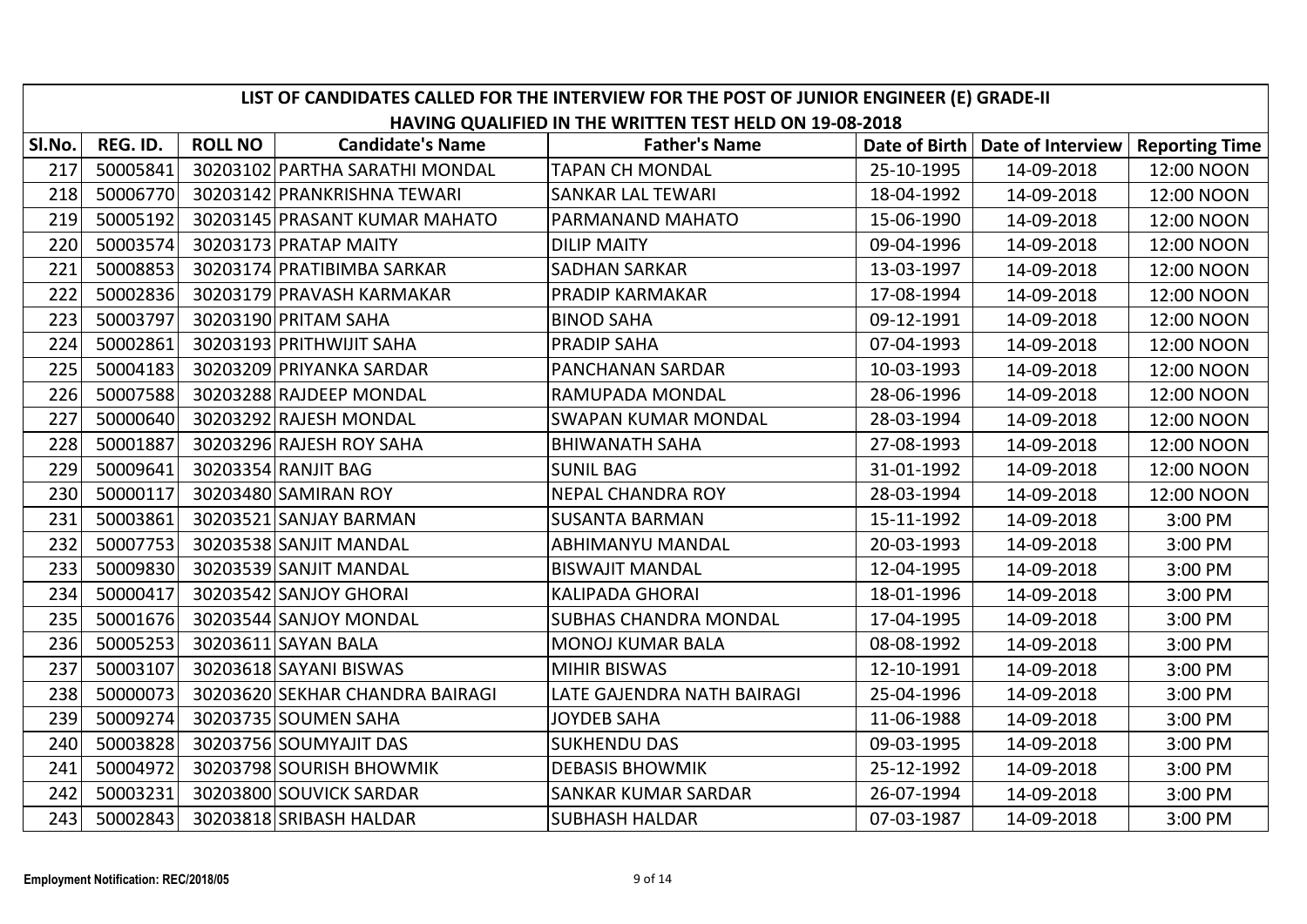|        | LIST OF CANDIDATES CALLED FOR THE INTERVIEW FOR THE POST OF JUNIOR ENGINEER (E) GRADE-II<br>HAVING QUALIFIED IN THE WRITTEN TEST HELD ON 19-08-2018 |                |                                 |                              |            |                                   |                       |  |  |  |  |
|--------|-----------------------------------------------------------------------------------------------------------------------------------------------------|----------------|---------------------------------|------------------------------|------------|-----------------------------------|-----------------------|--|--|--|--|
| SI.No. | REG. ID.                                                                                                                                            | <b>ROLL NO</b> | <b>Candidate's Name</b>         | <b>Father's Name</b>         |            | Date of Birth   Date of Interview | <b>Reporting Time</b> |  |  |  |  |
| 217    | 50005841                                                                                                                                            |                | 30203102 PARTHA SARATHI MONDAL  | <b>TAPAN CH MONDAL</b>       | 25-10-1995 | 14-09-2018                        | 12:00 NOON            |  |  |  |  |
| 218    | 50006770                                                                                                                                            |                | 30203142 PRANKRISHNA TEWARI     | <b>SANKAR LAL TEWARI</b>     | 18-04-1992 | 14-09-2018                        | 12:00 NOON            |  |  |  |  |
| 219    | 50005192                                                                                                                                            |                | 30203145 PRASANT KUMAR MAHATO   | PARMANAND MAHATO             | 15-06-1990 | 14-09-2018                        | 12:00 NOON            |  |  |  |  |
| 220    | 50003574                                                                                                                                            |                | 30203173 PRATAP MAITY           | <b>DILIP MAITY</b>           | 09-04-1996 | 14-09-2018                        | 12:00 NOON            |  |  |  |  |
| 221    | 50008853                                                                                                                                            |                | 30203174 PRATIBIMBA SARKAR      | <b>SADHAN SARKAR</b>         | 13-03-1997 | 14-09-2018                        | 12:00 NOON            |  |  |  |  |
| 222    | 50002836                                                                                                                                            |                | 30203179 PRAVASH KARMAKAR       | PRADIP KARMAKAR              | 17-08-1994 | 14-09-2018                        | 12:00 NOON            |  |  |  |  |
| 223    | 50003797                                                                                                                                            |                | 30203190 PRITAM SAHA            | <b>BINOD SAHA</b>            | 09-12-1991 | 14-09-2018                        | 12:00 NOON            |  |  |  |  |
| 224    | 50002861                                                                                                                                            |                | 30203193 PRITHWIJIT SAHA        | <b>PRADIP SAHA</b>           | 07-04-1993 | 14-09-2018                        | 12:00 NOON            |  |  |  |  |
| 225    | 50004183                                                                                                                                            |                | 30203209 PRIYANKA SARDAR        | <b>PANCHANAN SARDAR</b>      | 10-03-1993 | 14-09-2018                        | 12:00 NOON            |  |  |  |  |
| 226    | 50007588                                                                                                                                            |                | 30203288 RAJDEEP MONDAL         | RAMUPADA MONDAL              | 28-06-1996 | 14-09-2018                        | 12:00 NOON            |  |  |  |  |
| 227    | 50000640                                                                                                                                            |                | 30203292 RAJESH MONDAL          | <b>SWAPAN KUMAR MONDAL</b>   | 28-03-1994 | 14-09-2018                        | 12:00 NOON            |  |  |  |  |
| 228    | 50001887                                                                                                                                            |                | 30203296 RAJESH ROY SAHA        | <b>BHIWANATH SAHA</b>        | 27-08-1993 | 14-09-2018                        | 12:00 NOON            |  |  |  |  |
| 229    | 50009641                                                                                                                                            |                | 30203354 RANJIT BAG             | <b>SUNIL BAG</b>             | 31-01-1992 | 14-09-2018                        | 12:00 NOON            |  |  |  |  |
| 230    | 50000117                                                                                                                                            |                | 30203480 SAMIRAN ROY            | <b>NEPAL CHANDRA ROY</b>     | 28-03-1994 | 14-09-2018                        | 12:00 NOON            |  |  |  |  |
| 231    | 50003861                                                                                                                                            |                | 30203521 SANJAY BARMAN          | <b>SUSANTA BARMAN</b>        | 15-11-1992 | 14-09-2018                        | 3:00 PM               |  |  |  |  |
| 232    | 50007753                                                                                                                                            |                | 30203538 SANJIT MANDAL          | <b>ABHIMANYU MANDAL</b>      | 20-03-1993 | 14-09-2018                        | 3:00 PM               |  |  |  |  |
| 233    | 50009830                                                                                                                                            |                | 30203539 SANJIT MANDAL          | <b>BISWAJIT MANDAL</b>       | 12-04-1995 | 14-09-2018                        | 3:00 PM               |  |  |  |  |
| 234    | 50000417                                                                                                                                            |                | 30203542 SANJOY GHORAI          | <b>KALIPADA GHORAI</b>       | 18-01-1996 | 14-09-2018                        | 3:00 PM               |  |  |  |  |
| 235    | 50001676                                                                                                                                            |                | 30203544 SANJOY MONDAL          | <b>SUBHAS CHANDRA MONDAL</b> | 17-04-1995 | 14-09-2018                        | 3:00 PM               |  |  |  |  |
| 236    | 50005253                                                                                                                                            |                | 30203611 SAYAN BALA             | <b>MONOJ KUMAR BALA</b>      | 08-08-1992 | 14-09-2018                        | 3:00 PM               |  |  |  |  |
| 237    | 50003107                                                                                                                                            |                | 30203618 SAYANI BISWAS          | <b>MIHIR BISWAS</b>          | 12-10-1991 | 14-09-2018                        | 3:00 PM               |  |  |  |  |
| 238    | 50000073                                                                                                                                            |                | 30203620 SEKHAR CHANDRA BAIRAGI | LATE GAJENDRA NATH BAIRAGI   | 25-04-1996 | 14-09-2018                        | 3:00 PM               |  |  |  |  |
| 239    | 50009274                                                                                                                                            |                | 30203735 SOUMEN SAHA            | <b>JOYDEB SAHA</b>           | 11-06-1988 | 14-09-2018                        | 3:00 PM               |  |  |  |  |
| 240    | 50003828                                                                                                                                            |                | 30203756 SOUMYAJIT DAS          | <b>SUKHENDU DAS</b>          | 09-03-1995 | 14-09-2018                        | 3:00 PM               |  |  |  |  |
| 241    | 50004972                                                                                                                                            |                | 30203798 SOURISH BHOWMIK        | <b>DEBASIS BHOWMIK</b>       | 25-12-1992 | 14-09-2018                        | 3:00 PM               |  |  |  |  |
| 242    | 50003231                                                                                                                                            |                | 30203800 SOUVICK SARDAR         | <b>SANKAR KUMAR SARDAR</b>   | 26-07-1994 | 14-09-2018                        | 3:00 PM               |  |  |  |  |
| 243    | 50002843                                                                                                                                            |                | 30203818 SRIBASH HALDAR         | <b>SUBHASH HALDAR</b>        | 07-03-1987 | 14-09-2018                        | 3:00 PM               |  |  |  |  |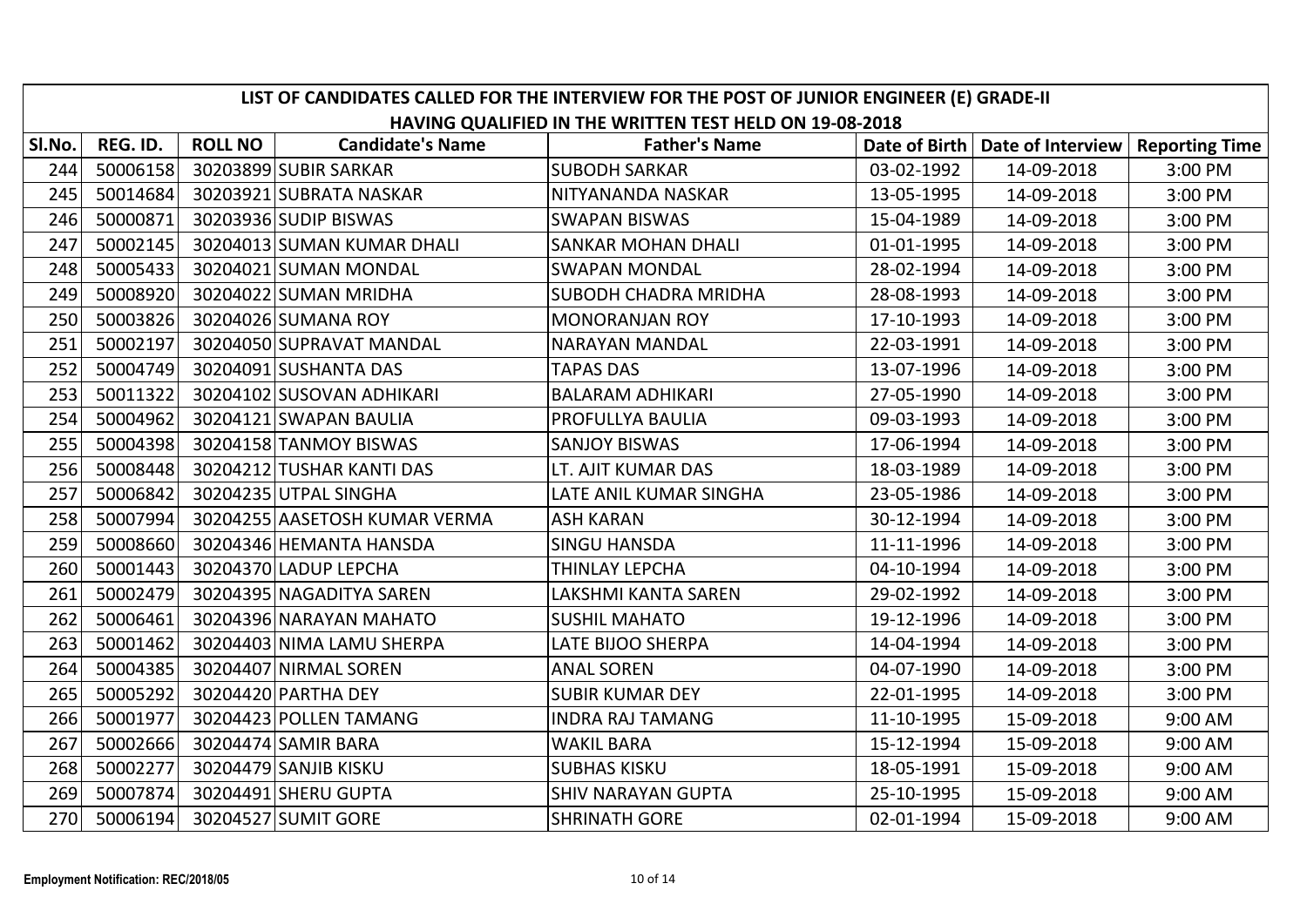|        | LIST OF CANDIDATES CALLED FOR THE INTERVIEW FOR THE POST OF JUNIOR ENGINEER (E) GRADE-II<br>HAVING QUALIFIED IN THE WRITTEN TEST HELD ON 19-08-2018 |                |                               |                             |            |                                   |                       |  |  |  |  |
|--------|-----------------------------------------------------------------------------------------------------------------------------------------------------|----------------|-------------------------------|-----------------------------|------------|-----------------------------------|-----------------------|--|--|--|--|
| SI.No. | REG. ID.                                                                                                                                            | <b>ROLL NO</b> | <b>Candidate's Name</b>       | <b>Father's Name</b>        |            | Date of Birth   Date of Interview | <b>Reporting Time</b> |  |  |  |  |
| 244    | 50006158                                                                                                                                            |                | 30203899 SUBIR SARKAR         | <b>SUBODH SARKAR</b>        | 03-02-1992 | 14-09-2018                        | 3:00 PM               |  |  |  |  |
| 245    | 50014684                                                                                                                                            |                | 30203921 SUBRATA NASKAR       | NITYANANDA NASKAR           | 13-05-1995 | 14-09-2018                        | 3:00 PM               |  |  |  |  |
| 246    | 50000871                                                                                                                                            |                | 30203936 SUDIP BISWAS         | <b>SWAPAN BISWAS</b>        | 15-04-1989 | 14-09-2018                        | 3:00 PM               |  |  |  |  |
| 247    | 50002145                                                                                                                                            |                | 30204013 SUMAN KUMAR DHALI    | <b>SANKAR MOHAN DHALI</b>   | 01-01-1995 | 14-09-2018                        | 3:00 PM               |  |  |  |  |
| 248    | 50005433                                                                                                                                            |                | 30204021 SUMAN MONDAL         | <b>SWAPAN MONDAL</b>        | 28-02-1994 | 14-09-2018                        | 3:00 PM               |  |  |  |  |
| 249    | 50008920                                                                                                                                            |                | 30204022 SUMAN MRIDHA         | <b>SUBODH CHADRA MRIDHA</b> | 28-08-1993 | 14-09-2018                        | 3:00 PM               |  |  |  |  |
| 250    | 50003826                                                                                                                                            |                | 30204026 SUMANA ROY           | <b>MONORANJAN ROY</b>       | 17-10-1993 | 14-09-2018                        | 3:00 PM               |  |  |  |  |
| 251    | 50002197                                                                                                                                            |                | 30204050 SUPRAVAT MANDAL      | <b>NARAYAN MANDAL</b>       | 22-03-1991 | 14-09-2018                        | 3:00 PM               |  |  |  |  |
| 252    | 50004749                                                                                                                                            |                | 30204091 SUSHANTA DAS         | <b>TAPAS DAS</b>            | 13-07-1996 | 14-09-2018                        | 3:00 PM               |  |  |  |  |
| 253    | 50011322                                                                                                                                            |                | 30204102 SUSOVAN ADHIKARI     | <b>BALARAM ADHIKARI</b>     | 27-05-1990 | 14-09-2018                        | 3:00 PM               |  |  |  |  |
| 254    | 50004962                                                                                                                                            |                | 30204121 SWAPAN BAULIA        | PROFULLYA BAULIA            | 09-03-1993 | 14-09-2018                        | 3:00 PM               |  |  |  |  |
| 255    | 50004398                                                                                                                                            |                | 30204158 TANMOY BISWAS        | <b>SANJOY BISWAS</b>        | 17-06-1994 | 14-09-2018                        | 3:00 PM               |  |  |  |  |
| 256    | 50008448                                                                                                                                            |                | 30204212 TUSHAR KANTI DAS     | LT. AJIT KUMAR DAS          | 18-03-1989 | 14-09-2018                        | 3:00 PM               |  |  |  |  |
| 257    | 50006842                                                                                                                                            |                | 30204235 UTPAL SINGHA         | LATE ANIL KUMAR SINGHA      | 23-05-1986 | 14-09-2018                        | 3:00 PM               |  |  |  |  |
| 258    | 50007994                                                                                                                                            |                | 30204255 AASETOSH KUMAR VERMA | <b>ASH KARAN</b>            | 30-12-1994 | 14-09-2018                        | 3:00 PM               |  |  |  |  |
| 259    | 50008660                                                                                                                                            |                | 30204346 HEMANTA HANSDA       | <b>SINGU HANSDA</b>         | 11-11-1996 | 14-09-2018                        | 3:00 PM               |  |  |  |  |
| 260    | 50001443                                                                                                                                            |                | 30204370 LADUP LEPCHA         | THINLAY LEPCHA              | 04-10-1994 | 14-09-2018                        | 3:00 PM               |  |  |  |  |
| 261    | 50002479                                                                                                                                            |                | 30204395 NAGADITYA SAREN      | <b>LAKSHMI KANTA SAREN</b>  | 29-02-1992 | 14-09-2018                        | 3:00 PM               |  |  |  |  |
| 262    | 50006461                                                                                                                                            |                | 30204396 NARAYAN MAHATO       | <b>SUSHIL MAHATO</b>        | 19-12-1996 | 14-09-2018                        | 3:00 PM               |  |  |  |  |
| 263    | 50001462                                                                                                                                            |                | 30204403 NIMA LAMU SHERPA     | LATE BIJOO SHERPA           | 14-04-1994 | 14-09-2018                        | 3:00 PM               |  |  |  |  |
| 264    | 50004385                                                                                                                                            |                | 30204407 NIRMAL SOREN         | <b>ANAL SOREN</b>           | 04-07-1990 | 14-09-2018                        | 3:00 PM               |  |  |  |  |
| 265    | 50005292                                                                                                                                            |                | 30204420 PARTHA DEY           | <b>SUBIR KUMAR DEY</b>      | 22-01-1995 | 14-09-2018                        | 3:00 PM               |  |  |  |  |
| 266    | 50001977                                                                                                                                            |                | 30204423 POLLEN TAMANG        | <b>INDRA RAJ TAMANG</b>     | 11-10-1995 | 15-09-2018                        | 9:00 AM               |  |  |  |  |
| 267    | 50002666                                                                                                                                            |                | 30204474 SAMIR BARA           | <b>WAKIL BARA</b>           | 15-12-1994 | 15-09-2018                        | 9:00 AM               |  |  |  |  |
| 268    | 50002277                                                                                                                                            |                | 30204479 SANJIB KISKU         | <b>SUBHAS KISKU</b>         | 18-05-1991 | 15-09-2018                        | 9:00 AM               |  |  |  |  |
| 269    | 50007874                                                                                                                                            |                | 30204491 SHERU GUPTA          | <b>SHIV NARAYAN GUPTA</b>   | 25-10-1995 | 15-09-2018                        | 9:00 AM               |  |  |  |  |
| 270    | 50006194                                                                                                                                            |                | 30204527 SUMIT GORE           | <b>SHRINATH GORE</b>        | 02-01-1994 | 15-09-2018                        | 9:00 AM               |  |  |  |  |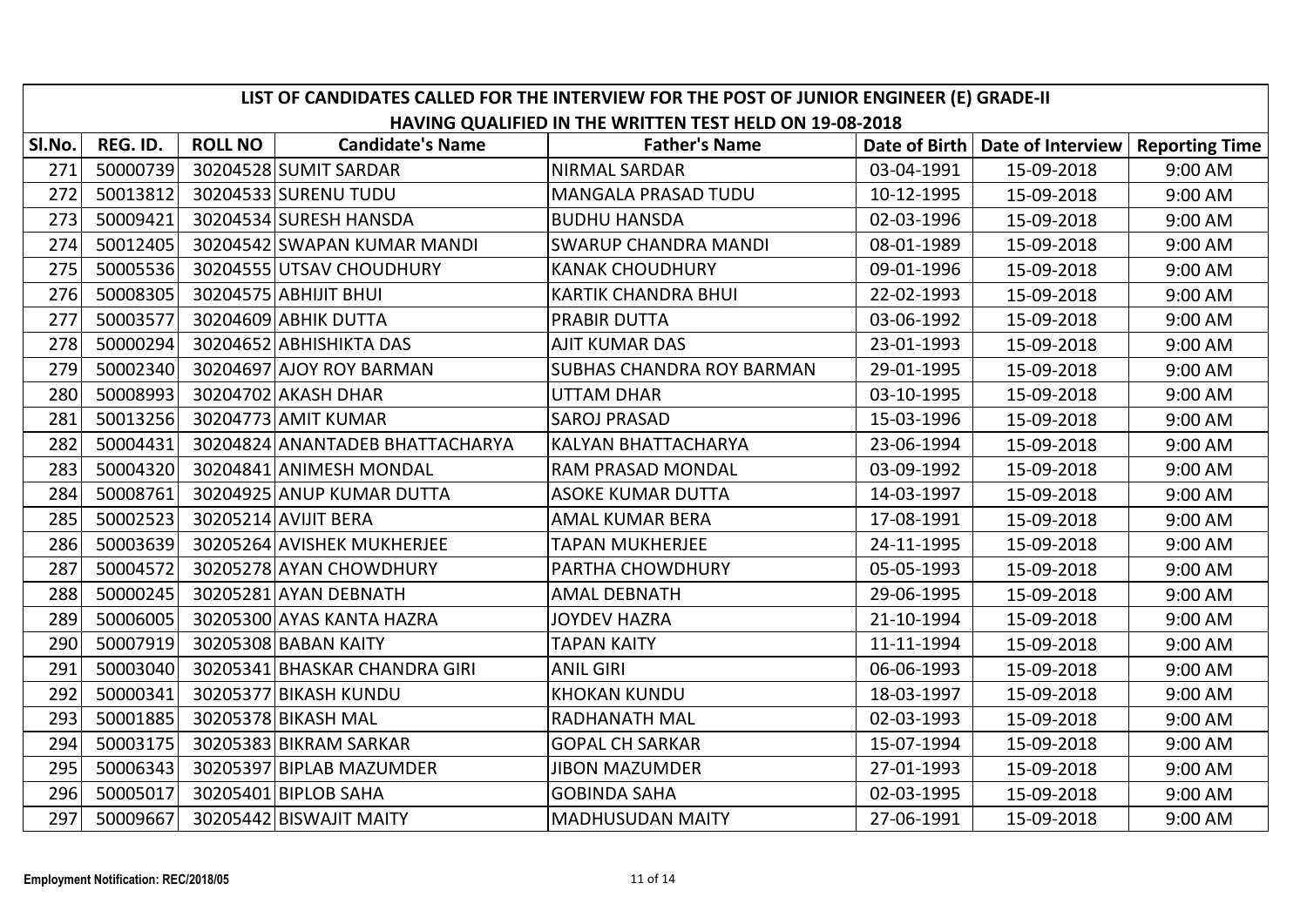|        | LIST OF CANDIDATES CALLED FOR THE INTERVIEW FOR THE POST OF JUNIOR ENGINEER (E) GRADE-II<br>HAVING QUALIFIED IN THE WRITTEN TEST HELD ON 19-08-2018 |                |                                 |                                  |            |                                   |                       |  |  |  |  |
|--------|-----------------------------------------------------------------------------------------------------------------------------------------------------|----------------|---------------------------------|----------------------------------|------------|-----------------------------------|-----------------------|--|--|--|--|
| SI.No. | REG. ID.                                                                                                                                            | <b>ROLL NO</b> | <b>Candidate's Name</b>         | <b>Father's Name</b>             |            | Date of Birth   Date of Interview | <b>Reporting Time</b> |  |  |  |  |
| 271    | 50000739                                                                                                                                            |                | 30204528 SUMIT SARDAR           | <b>NIRMAL SARDAR</b>             | 03-04-1991 | 15-09-2018                        | 9:00 AM               |  |  |  |  |
| 272    | 50013812                                                                                                                                            |                | 30204533 SURENU TUDU            | MANGALA PRASAD TUDU              | 10-12-1995 | 15-09-2018                        | 9:00 AM               |  |  |  |  |
| 273    | 50009421                                                                                                                                            |                | 30204534 SURESH HANSDA          | <b>BUDHU HANSDA</b>              | 02-03-1996 | 15-09-2018                        | 9:00 AM               |  |  |  |  |
| 274    | 50012405                                                                                                                                            |                | 30204542 SWAPAN KUMAR MANDI     | <b>SWARUP CHANDRA MANDI</b>      | 08-01-1989 | 15-09-2018                        | 9:00 AM               |  |  |  |  |
| 275    | 50005536                                                                                                                                            |                | 30204555 UTSAV CHOUDHURY        | <b>KANAK CHOUDHURY</b>           | 09-01-1996 | 15-09-2018                        | 9:00 AM               |  |  |  |  |
| 276    | 50008305                                                                                                                                            |                | 30204575 ABHIJIT BHUI           | <b>KARTIK CHANDRA BHUI</b>       | 22-02-1993 | 15-09-2018                        | 9:00 AM               |  |  |  |  |
| 277    | 50003577                                                                                                                                            |                | 30204609 ABHIK DUTTA            | <b>PRABIR DUTTA</b>              | 03-06-1992 | 15-09-2018                        | 9:00 AM               |  |  |  |  |
| 278    | 50000294                                                                                                                                            |                | 30204652 ABHISHIKTA DAS         | <b>AJIT KUMAR DAS</b>            | 23-01-1993 | 15-09-2018                        | 9:00 AM               |  |  |  |  |
| 279    | 50002340                                                                                                                                            |                | 30204697 AJOY ROY BARMAN        | <b>SUBHAS CHANDRA ROY BARMAN</b> | 29-01-1995 | 15-09-2018                        | 9:00 AM               |  |  |  |  |
| 280    | 50008993                                                                                                                                            |                | 30204702 AKASH DHAR             | <b>UTTAM DHAR</b>                | 03-10-1995 | 15-09-2018                        | 9:00 AM               |  |  |  |  |
| 281    | 50013256                                                                                                                                            |                | 30204773 AMIT KUMAR             | <b>SAROJ PRASAD</b>              | 15-03-1996 | 15-09-2018                        | 9:00 AM               |  |  |  |  |
| 282    | 50004431                                                                                                                                            |                | 30204824 ANANTADEB BHATTACHARYA | <b>KALYAN BHATTACHARYA</b>       | 23-06-1994 | 15-09-2018                        | 9:00 AM               |  |  |  |  |
| 283    | 50004320                                                                                                                                            |                | 30204841 ANIMESH MONDAL         | RAM PRASAD MONDAL                | 03-09-1992 | 15-09-2018                        | 9:00 AM               |  |  |  |  |
| 284    | 50008761                                                                                                                                            |                | 30204925 ANUP KUMAR DUTTA       | <b>ASOKE KUMAR DUTTA</b>         | 14-03-1997 | 15-09-2018                        | 9:00 AM               |  |  |  |  |
| 285    | 50002523                                                                                                                                            |                | 30205214 AVIJIT BERA            | <b>AMAL KUMAR BERA</b>           | 17-08-1991 | 15-09-2018                        | 9:00 AM               |  |  |  |  |
| 286    | 50003639                                                                                                                                            |                | 30205264 AVISHEK MUKHERJEE      | <b>TAPAN MUKHERJEE</b>           | 24-11-1995 | 15-09-2018                        | 9:00 AM               |  |  |  |  |
| 287    | 50004572                                                                                                                                            |                | 30205278 AYAN CHOWDHURY         | PARTHA CHOWDHURY                 | 05-05-1993 | 15-09-2018                        | 9:00 AM               |  |  |  |  |
| 288    | 50000245                                                                                                                                            |                | 30205281 AYAN DEBNATH           | <b>AMAL DEBNATH</b>              | 29-06-1995 | 15-09-2018                        | 9:00 AM               |  |  |  |  |
| 289    | 50006005                                                                                                                                            |                | 30205300 AYAS KANTA HAZRA       | <b>JOYDEV HAZRA</b>              | 21-10-1994 | 15-09-2018                        | 9:00 AM               |  |  |  |  |
| 290    | 50007919                                                                                                                                            |                | 30205308 BABAN KAITY            | <b>TAPAN KAITY</b>               | 11-11-1994 | 15-09-2018                        | 9:00 AM               |  |  |  |  |
| 291    | 50003040                                                                                                                                            |                | 30205341 BHASKAR CHANDRA GIRI   | <b>ANIL GIRI</b>                 | 06-06-1993 | 15-09-2018                        | 9:00 AM               |  |  |  |  |
| 292    | 50000341                                                                                                                                            |                | 30205377 BIKASH KUNDU           | <b>KHOKAN KUNDU</b>              | 18-03-1997 | 15-09-2018                        | 9:00 AM               |  |  |  |  |
| 293    | 50001885                                                                                                                                            |                | 30205378 BIKASH MAL             | <b>RADHANATH MAL</b>             | 02-03-1993 | 15-09-2018                        | 9:00 AM               |  |  |  |  |
| 294    | 50003175                                                                                                                                            |                | 30205383 BIKRAM SARKAR          | <b>GOPAL CH SARKAR</b>           | 15-07-1994 | 15-09-2018                        | 9:00 AM               |  |  |  |  |
| 295    | 50006343                                                                                                                                            |                | 30205397 BIPLAB MAZUMDER        | <b>JIBON MAZUMDER</b>            | 27-01-1993 | 15-09-2018                        | 9:00 AM               |  |  |  |  |
| 296    | 50005017                                                                                                                                            |                | 30205401 BIPLOB SAHA            | <b>GOBINDA SAHA</b>              | 02-03-1995 | 15-09-2018                        | 9:00 AM               |  |  |  |  |
| 297    | 50009667                                                                                                                                            |                | 30205442 BISWAJIT MAITY         | <b>MADHUSUDAN MAITY</b>          | 27-06-1991 | 15-09-2018                        | 9:00 AM               |  |  |  |  |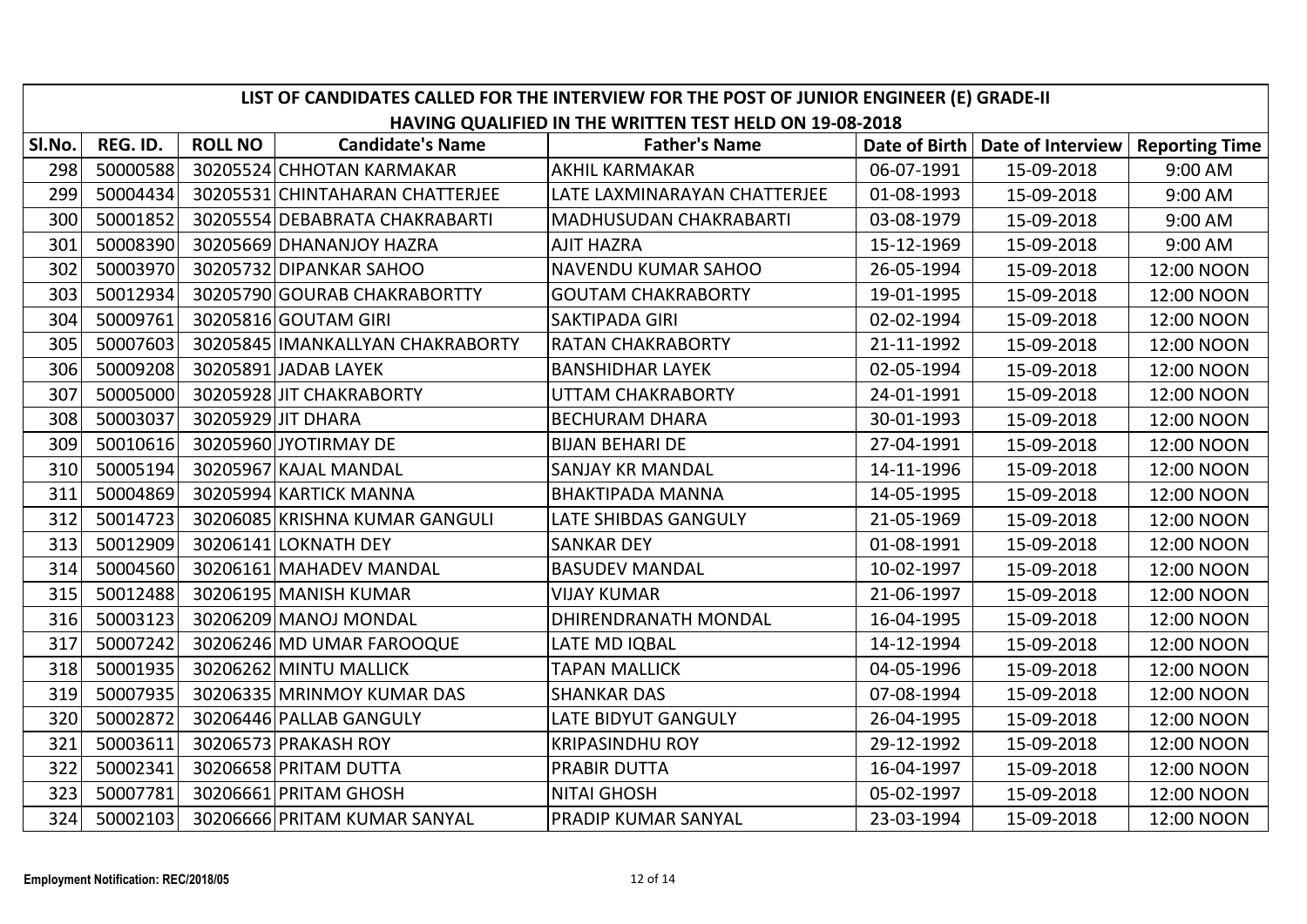|        | LIST OF CANDIDATES CALLED FOR THE INTERVIEW FOR THE POST OF JUNIOR ENGINEER (E) GRADE-II<br>HAVING QUALIFIED IN THE WRITTEN TEST HELD ON 19-08-2018 |                |                                  |                               |            |                                   |                       |  |  |  |  |
|--------|-----------------------------------------------------------------------------------------------------------------------------------------------------|----------------|----------------------------------|-------------------------------|------------|-----------------------------------|-----------------------|--|--|--|--|
| SI.No. | REG. ID.                                                                                                                                            | <b>ROLL NO</b> | <b>Candidate's Name</b>          | <b>Father's Name</b>          |            | Date of Birth   Date of Interview | <b>Reporting Time</b> |  |  |  |  |
| 298    | 50000588                                                                                                                                            |                | 30205524 CHHOTAN KARMAKAR        | <b>AKHIL KARMAKAR</b>         | 06-07-1991 | 15-09-2018                        | 9:00 AM               |  |  |  |  |
| 299    | 50004434                                                                                                                                            |                | 30205531 CHINTAHARAN CHATTERJEE  | LATE LAXMINARAYAN CHATTERJEE  | 01-08-1993 | 15-09-2018                        | 9:00 AM               |  |  |  |  |
| 300    | 50001852                                                                                                                                            |                | 30205554 DEBABRATA CHAKRABARTI   | <b>MADHUSUDAN CHAKRABARTI</b> | 03-08-1979 | 15-09-2018                        | 9:00 AM               |  |  |  |  |
| 301    | 50008390                                                                                                                                            |                | 30205669 DHANANJOY HAZRA         | <b>AJIT HAZRA</b>             | 15-12-1969 | 15-09-2018                        | 9:00 AM               |  |  |  |  |
| 302    | 50003970                                                                                                                                            |                | 30205732 DIPANKAR SAHOO          | <b>NAVENDU KUMAR SAHOO</b>    | 26-05-1994 | 15-09-2018                        | 12:00 NOON            |  |  |  |  |
| 303    | 50012934                                                                                                                                            |                | 30205790 GOURAB CHAKRABORTTY     | <b>GOUTAM CHAKRABORTY</b>     | 19-01-1995 | 15-09-2018                        | 12:00 NOON            |  |  |  |  |
| 304    | 50009761                                                                                                                                            |                | 30205816 GOUTAM GIRI             | <b>SAKTIPADA GIRI</b>         | 02-02-1994 | 15-09-2018                        | 12:00 NOON            |  |  |  |  |
| 305    | 50007603                                                                                                                                            |                | 30205845 IMANKALLYAN CHAKRABORTY | <b>RATAN CHAKRABORTY</b>      | 21-11-1992 | 15-09-2018                        | 12:00 NOON            |  |  |  |  |
| 306    | 50009208                                                                                                                                            |                | 30205891 JADAB LAYEK             | <b>BANSHIDHAR LAYEK</b>       | 02-05-1994 | 15-09-2018                        | 12:00 NOON            |  |  |  |  |
| 307    | 50005000                                                                                                                                            |                | 30205928 JIT CHAKRABORTY         | UTTAM CHAKRABORTY             | 24-01-1991 | 15-09-2018                        | 12:00 NOON            |  |  |  |  |
| 308    | 50003037                                                                                                                                            |                | 30205929 JIT DHARA               | <b>BECHURAM DHARA</b>         | 30-01-1993 | 15-09-2018                        | 12:00 NOON            |  |  |  |  |
| 309    | 50010616                                                                                                                                            |                | 30205960 JYOTIRMAY DE            | <b>BIJAN BEHARI DE</b>        | 27-04-1991 | 15-09-2018                        | 12:00 NOON            |  |  |  |  |
| 310    | 50005194                                                                                                                                            |                | 30205967 KAJAL MANDAL            | <b>SANJAY KR MANDAL</b>       | 14-11-1996 | 15-09-2018                        | 12:00 NOON            |  |  |  |  |
| 311    | 50004869                                                                                                                                            |                | 30205994 KARTICK MANNA           | <b>BHAKTIPADA MANNA</b>       | 14-05-1995 | 15-09-2018                        | 12:00 NOON            |  |  |  |  |
| 312    | 50014723                                                                                                                                            |                | 30206085 KRISHNA KUMAR GANGULI   | LATE SHIBDAS GANGULY          | 21-05-1969 | 15-09-2018                        | 12:00 NOON            |  |  |  |  |
| 313    | 50012909                                                                                                                                            |                | 30206141 LOKNATH DEY             | <b>SANKAR DEY</b>             | 01-08-1991 | 15-09-2018                        | 12:00 NOON            |  |  |  |  |
| 314    | 50004560                                                                                                                                            |                | 30206161 MAHADEV MANDAL          | <b>BASUDEV MANDAL</b>         | 10-02-1997 | 15-09-2018                        | 12:00 NOON            |  |  |  |  |
| 315    | 50012488                                                                                                                                            |                | 30206195 MANISH KUMAR            | <b>VIJAY KUMAR</b>            | 21-06-1997 | 15-09-2018                        | 12:00 NOON            |  |  |  |  |
| 316    | 50003123                                                                                                                                            |                | 30206209 MANOJ MONDAL            | <b>DHIRENDRANATH MONDAL</b>   | 16-04-1995 | 15-09-2018                        | 12:00 NOON            |  |  |  |  |
| 317    | 50007242                                                                                                                                            |                | 30206246 MD UMAR FAROOQUE        | LATE MD IQBAL                 | 14-12-1994 | 15-09-2018                        | 12:00 NOON            |  |  |  |  |
| 318    | 50001935                                                                                                                                            |                | 30206262 MINTU MALLICK           | TAPAN MALLICK                 | 04-05-1996 | 15-09-2018                        | 12:00 NOON            |  |  |  |  |
| 319    | 50007935                                                                                                                                            |                | 30206335 MRINMOY KUMAR DAS       | <b>SHANKAR DAS</b>            | 07-08-1994 | 15-09-2018                        | 12:00 NOON            |  |  |  |  |
| 320    | 50002872                                                                                                                                            |                | 30206446 PALLAB GANGULY          | <b>LATE BIDYUT GANGULY</b>    | 26-04-1995 | 15-09-2018                        | 12:00 NOON            |  |  |  |  |
| 321    | 50003611                                                                                                                                            |                | 30206573 PRAKASH ROY             | <b>KRIPASINDHU ROY</b>        | 29-12-1992 | 15-09-2018                        | 12:00 NOON            |  |  |  |  |
| 322    | 50002341                                                                                                                                            |                | 30206658 PRITAM DUTTA            | <b>PRABIR DUTTA</b>           | 16-04-1997 | 15-09-2018                        | 12:00 NOON            |  |  |  |  |
| 323    | 50007781                                                                                                                                            |                | 30206661 PRITAM GHOSH            | <b>NITAI GHOSH</b>            | 05-02-1997 | 15-09-2018                        | 12:00 NOON            |  |  |  |  |
| 324    | 50002103                                                                                                                                            |                | 30206666 PRITAM KUMAR SANYAL     | PRADIP KUMAR SANYAL           | 23-03-1994 | 15-09-2018                        | 12:00 NOON            |  |  |  |  |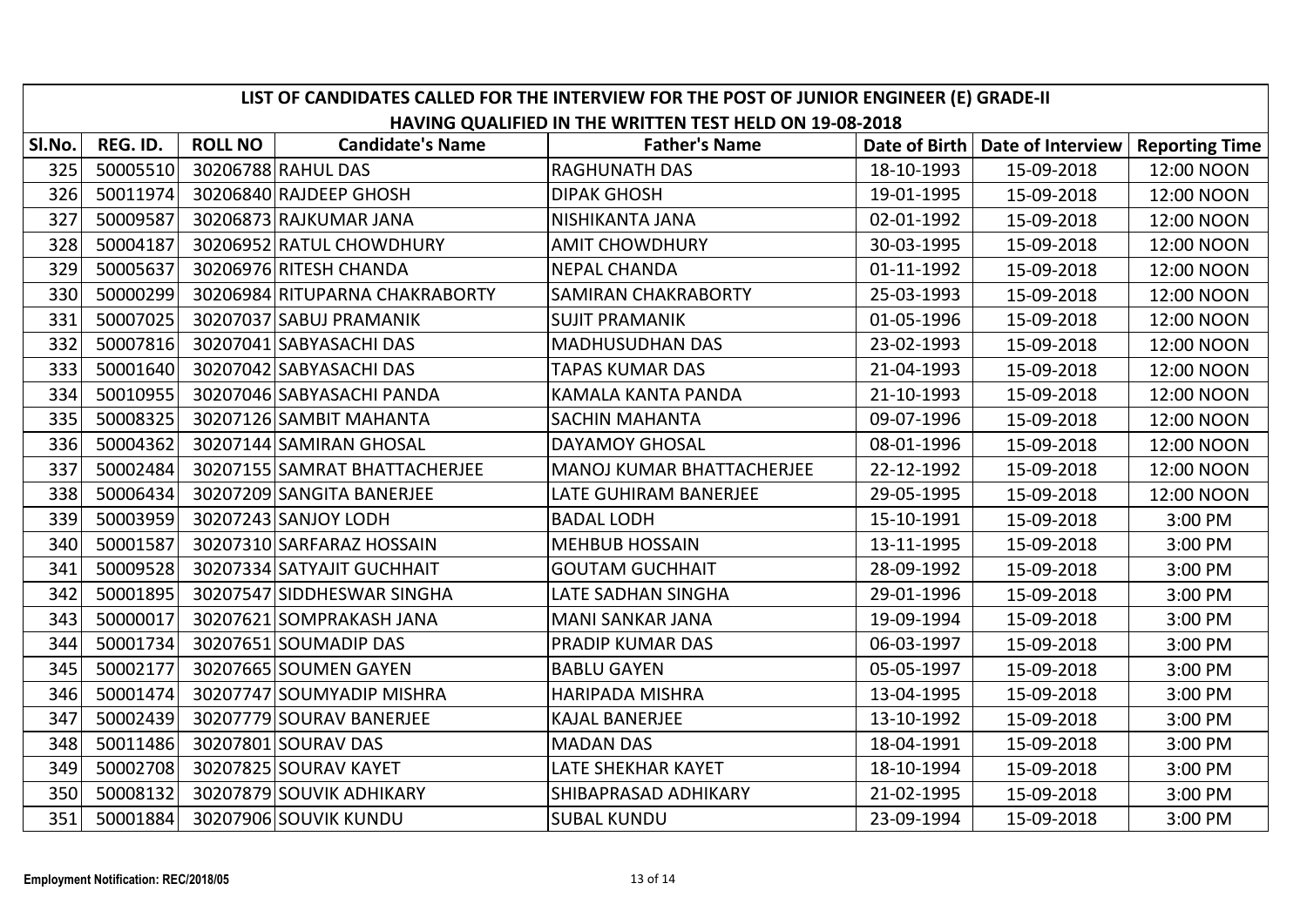| LIST OF CANDIDATES CALLED FOR THE INTERVIEW FOR THE POST OF JUNIOR ENGINEER (E) GRADE-II<br>HAVING QUALIFIED IN THE WRITTEN TEST HELD ON 19-08-2018 |          |                |                                |                                  |            |                                   |                       |  |  |  |  |
|-----------------------------------------------------------------------------------------------------------------------------------------------------|----------|----------------|--------------------------------|----------------------------------|------------|-----------------------------------|-----------------------|--|--|--|--|
| SI.No.                                                                                                                                              | REG. ID. | <b>ROLL NO</b> | <b>Candidate's Name</b>        | <b>Father's Name</b>             |            | Date of Birth   Date of Interview | <b>Reporting Time</b> |  |  |  |  |
| 325                                                                                                                                                 | 50005510 |                | 30206788 RAHUL DAS             | <b>RAGHUNATH DAS</b>             | 18-10-1993 | 15-09-2018                        | 12:00 NOON            |  |  |  |  |
| 326                                                                                                                                                 | 50011974 |                | 30206840 RAJDEEP GHOSH         | <b>DIPAK GHOSH</b>               | 19-01-1995 | 15-09-2018                        | 12:00 NOON            |  |  |  |  |
| 327                                                                                                                                                 | 50009587 |                | 30206873 RAJKUMAR JANA         | NISHIKANTA JANA                  | 02-01-1992 | 15-09-2018                        | 12:00 NOON            |  |  |  |  |
| 328                                                                                                                                                 | 50004187 |                | 30206952 RATUL CHOWDHURY       | <b>AMIT CHOWDHURY</b>            | 30-03-1995 | 15-09-2018                        | 12:00 NOON            |  |  |  |  |
| 329                                                                                                                                                 | 50005637 |                | 30206976 RITESH CHANDA         | <b>NEPAL CHANDA</b>              | 01-11-1992 | 15-09-2018                        | 12:00 NOON            |  |  |  |  |
| 330                                                                                                                                                 | 50000299 |                | 30206984 RITUPARNA CHAKRABORTY | <b>SAMIRAN CHAKRABORTY</b>       | 25-03-1993 | 15-09-2018                        | 12:00 NOON            |  |  |  |  |
| 331                                                                                                                                                 | 50007025 |                | 30207037 SABUJ PRAMANIK        | <b>SUJIT PRAMANIK</b>            | 01-05-1996 | 15-09-2018                        | 12:00 NOON            |  |  |  |  |
| 332                                                                                                                                                 | 50007816 |                | 30207041 SABYASACHI DAS        | <b>MADHUSUDHAN DAS</b>           | 23-02-1993 | 15-09-2018                        | 12:00 NOON            |  |  |  |  |
| 333                                                                                                                                                 | 50001640 |                | 30207042 SABYASACHI DAS        | <b>TAPAS KUMAR DAS</b>           | 21-04-1993 | 15-09-2018                        | 12:00 NOON            |  |  |  |  |
| 334                                                                                                                                                 | 50010955 |                | 30207046 SABYASACHI PANDA      | KAMALA KANTA PANDA               | 21-10-1993 | 15-09-2018                        | 12:00 NOON            |  |  |  |  |
| 335                                                                                                                                                 | 50008325 |                | 30207126 SAMBIT MAHANTA        | <b>SACHIN MAHANTA</b>            | 09-07-1996 | 15-09-2018                        | 12:00 NOON            |  |  |  |  |
| 336                                                                                                                                                 | 50004362 |                | 30207144 SAMIRAN GHOSAL        | <b>DAYAMOY GHOSAL</b>            | 08-01-1996 | 15-09-2018                        | 12:00 NOON            |  |  |  |  |
| 337                                                                                                                                                 | 50002484 |                | 30207155 SAMRAT BHATTACHERJEE  | <b>MANOJ KUMAR BHATTACHERJEE</b> | 22-12-1992 | 15-09-2018                        | 12:00 NOON            |  |  |  |  |
| 338                                                                                                                                                 | 50006434 |                | 30207209 SANGITA BANERJEE      | LATE GUHIRAM BANERJEE            | 29-05-1995 | 15-09-2018                        | 12:00 NOON            |  |  |  |  |
| 339                                                                                                                                                 | 50003959 |                | 30207243 SANJOY LODH           | <b>BADAL LODH</b>                | 15-10-1991 | 15-09-2018                        | 3:00 PM               |  |  |  |  |
| 340                                                                                                                                                 | 50001587 |                | 30207310 SARFARAZ HOSSAIN      | <b>MEHBUB HOSSAIN</b>            | 13-11-1995 | 15-09-2018                        | 3:00 PM               |  |  |  |  |
| 341                                                                                                                                                 | 50009528 |                | 30207334 SATYAJIT GUCHHAIT     | <b>GOUTAM GUCHHAIT</b>           | 28-09-1992 | 15-09-2018                        | 3:00 PM               |  |  |  |  |
| 342                                                                                                                                                 | 50001895 |                | 30207547 SIDDHESWAR SINGHA     | LATE SADHAN SINGHA               | 29-01-1996 | 15-09-2018                        | 3:00 PM               |  |  |  |  |
| 343                                                                                                                                                 | 50000017 |                | 30207621 SOMPRAKASH JANA       | <b>MANI SANKAR JANA</b>          | 19-09-1994 | 15-09-2018                        | 3:00 PM               |  |  |  |  |
| 344                                                                                                                                                 | 50001734 |                | 30207651 SOUMADIP DAS          | PRADIP KUMAR DAS                 | 06-03-1997 | 15-09-2018                        | 3:00 PM               |  |  |  |  |
| 345                                                                                                                                                 | 50002177 |                | 30207665 SOUMEN GAYEN          | <b>BABLU GAYEN</b>               | 05-05-1997 | 15-09-2018                        | 3:00 PM               |  |  |  |  |
| 346                                                                                                                                                 | 50001474 |                | 30207747 SOUMYADIP MISHRA      | <b>HARIPADA MISHRA</b>           | 13-04-1995 | 15-09-2018                        | 3:00 PM               |  |  |  |  |
| 347                                                                                                                                                 | 50002439 |                | 30207779 SOURAV BANERJEE       | <b>KAJAL BANERJEE</b>            | 13-10-1992 | 15-09-2018                        | 3:00 PM               |  |  |  |  |
| 348                                                                                                                                                 | 50011486 |                | 30207801 SOURAV DAS            | <b>MADAN DAS</b>                 | 18-04-1991 | 15-09-2018                        | 3:00 PM               |  |  |  |  |
| 349                                                                                                                                                 | 50002708 |                | 30207825 SOURAV KAYET          | LATE SHEKHAR KAYET               | 18-10-1994 | 15-09-2018                        | 3:00 PM               |  |  |  |  |
| 350                                                                                                                                                 | 50008132 |                | 30207879 SOUVIK ADHIKARY       | SHIBAPRASAD ADHIKARY             | 21-02-1995 | 15-09-2018                        | 3:00 PM               |  |  |  |  |
| 351                                                                                                                                                 | 50001884 |                | 30207906 SOUVIK KUNDU          | <b>SUBAL KUNDU</b>               | 23-09-1994 | 15-09-2018                        | 3:00 PM               |  |  |  |  |